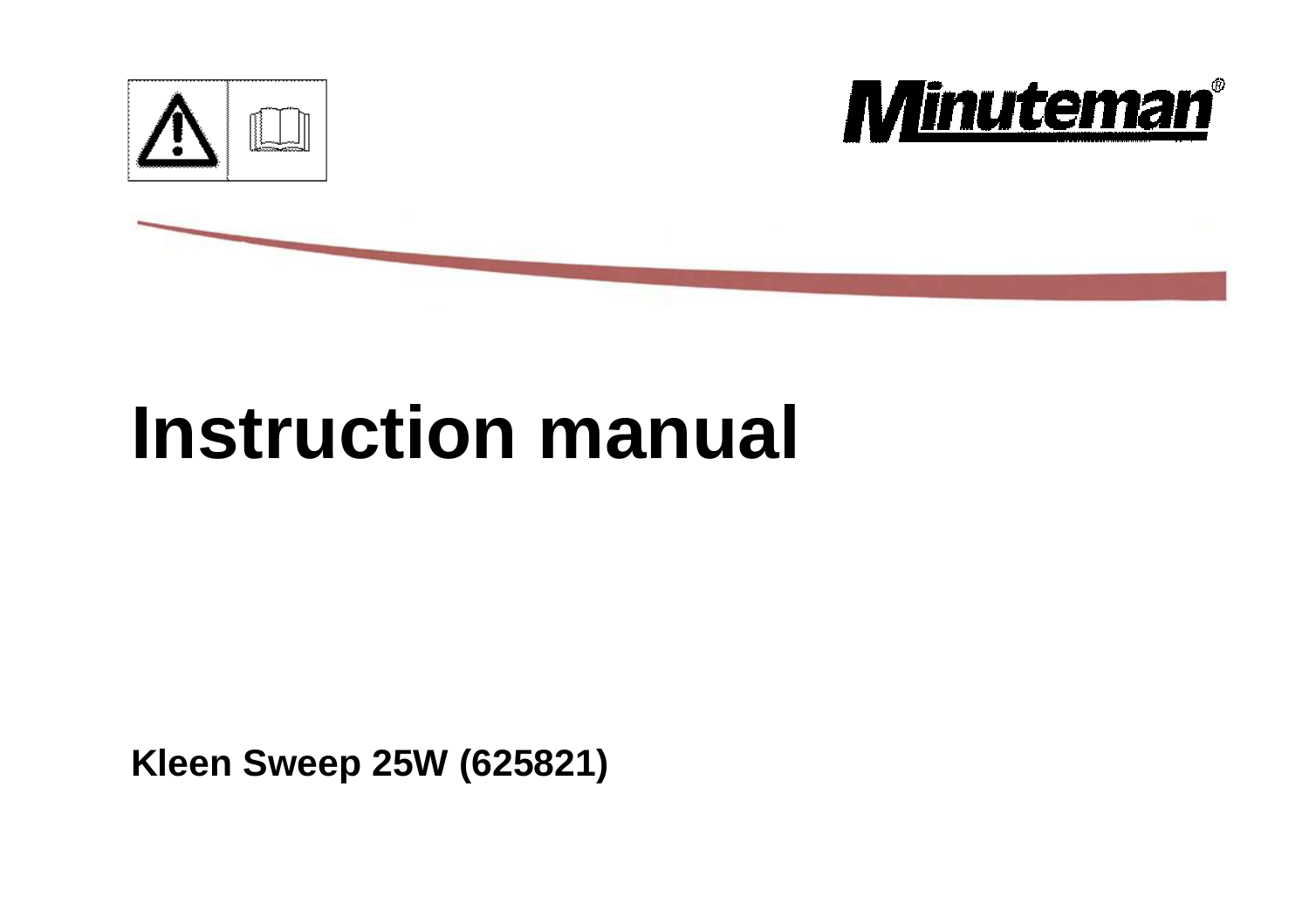



# **Instruction manual**

**Kleen Sweep 25W (625821)**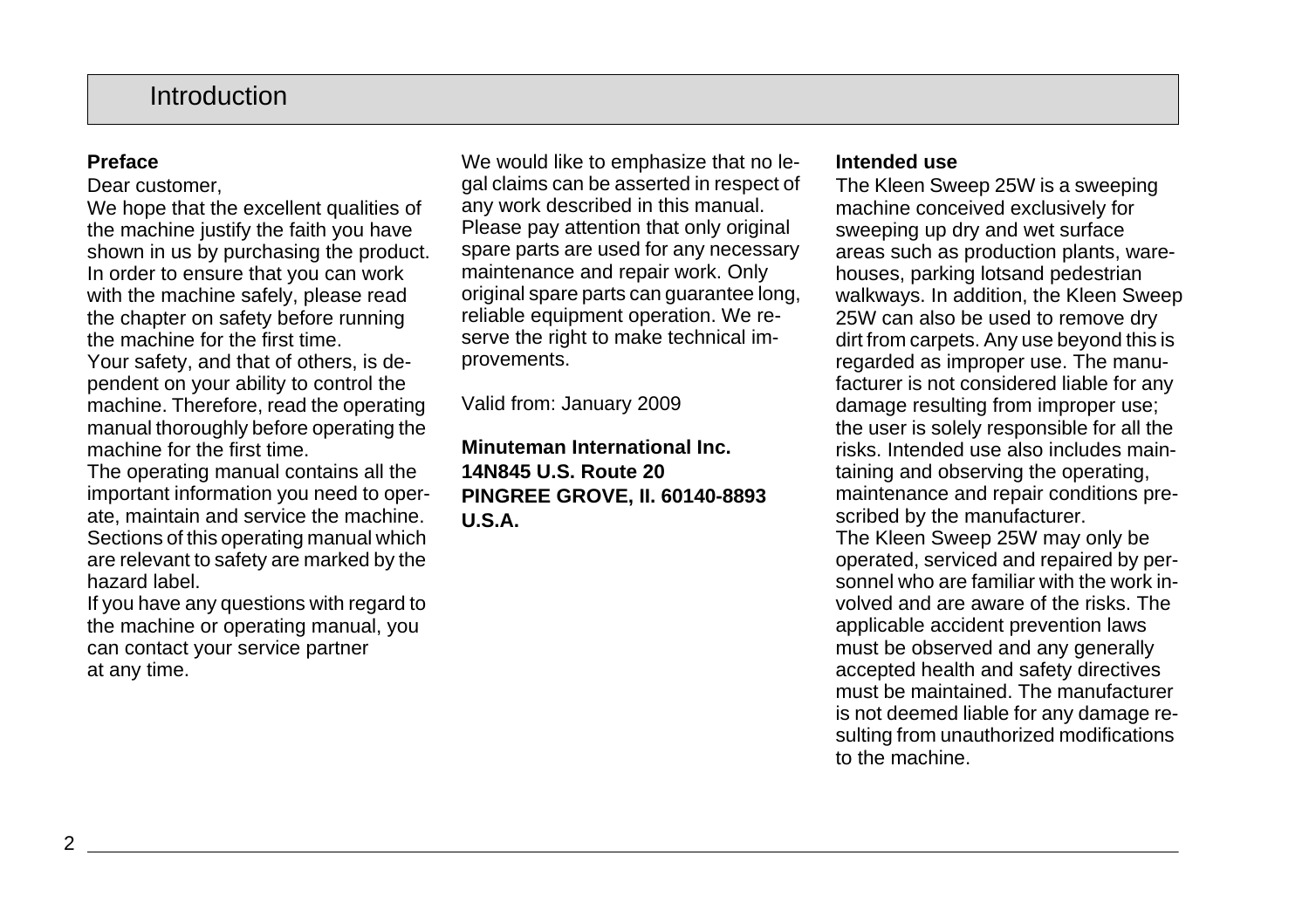# **Introduction**

### **Preface**

Dear customer,

We hope that the excellent qualities of the machine justify the faith you have shown in us by purchasing the product. In order to ensure that you can work with the machine safely, please read the chapter on safety before running the machine for the first time.

Your safety, and that of others, is dependent on your ability to control the machine. Therefore, read the operating manual thoroughly before operating the machine for the first time.

The operating manual contains all the important information you need to operate, maintain and service the machine. Sections of this operating manual which are relevant to safety are marked by the hazard label.

If you have any questions with regard to the machine or operating manual, you can contact your service partner at any time.

We would like to emphasize that no legal claims can be asserted in respect of any work described in this manual. Please pay attention that only original spare parts are used for any necessary maintenance and repair work. Only original spare parts can guarantee long, reliable equipment operation. We reserve the right to make technical improvements.

Valid from: January 2009

**Minuteman International Inc. 14N845 U.S. Route 20 PINGREE GROVE, II. 60140-8893 U.S.A.**

#### **Intended use**

The Kleen Sweep 25W is a sweeping machine conceived exclusively for sweeping up dry and wet surface areas such as production plants, warehouses, parking lotsand pedestrian walkways. In addition, the Kleen Sweep 25W can also be used to remove dry dirt from carpets. Any use beyond this is regarded as improper use. The manufacturer is not considered liable for any damage resulting from improper use; the user is solely responsible for all the risks. Intended use also includes maintaining and observing the operating, maintenance and repair conditions prescribed by the manufacturer. The Kleen Sweep 25W may only be operated, serviced and repaired by personnel who are familiar with the work involved and are aware of the risks. The applicable accident prevention laws must be observed and any generally accepted health and safety directives must be maintained. The manufacturer is not deemed liable for any damage resulting from unauthorized modifications to the machine.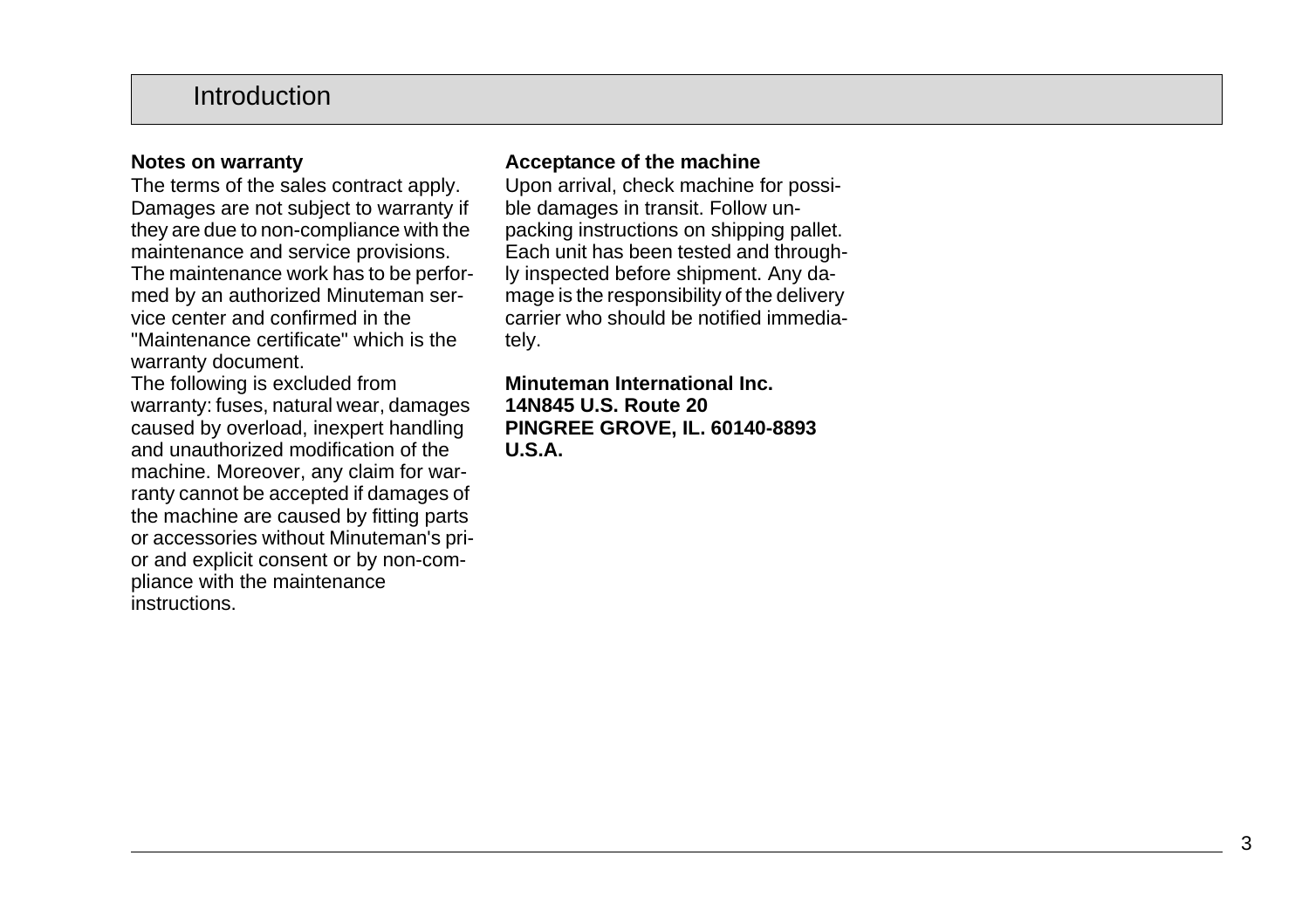# Introduction

#### **Notes on warranty**

The terms of the sales contract apply. Damages are not subject to warranty if they are due to non-compliance with the maintenance and service provisions. The maintenance work has to be performed by an authorized Minuteman service center and confirmed in the "Maintenance certificate" which is the warranty document.

The following is excluded from warranty: fuses, natural wear, damages caused by overload, inexpert handling and unauthorized modification of the machine. Moreover, any claim for warranty cannot be accepted if damages of the machine are caused by fitting parts or accessories without Minuteman's prior and explicit consent or by non-compliance with the maintenance instructions.

### **Acceptance of the machine**

Upon arrival, check machine for possible damages in transit. Follow unpacking instructions on shipping pallet. Each unit has been tested and throughly inspected before shipment. Any damage is the responsibility of the delivery carrier who should be notified immediately.

**Minuteman International Inc. 14N845 U.S. Route 20 PINGREE GROVE, IL. 60140-8893 U.S.A.**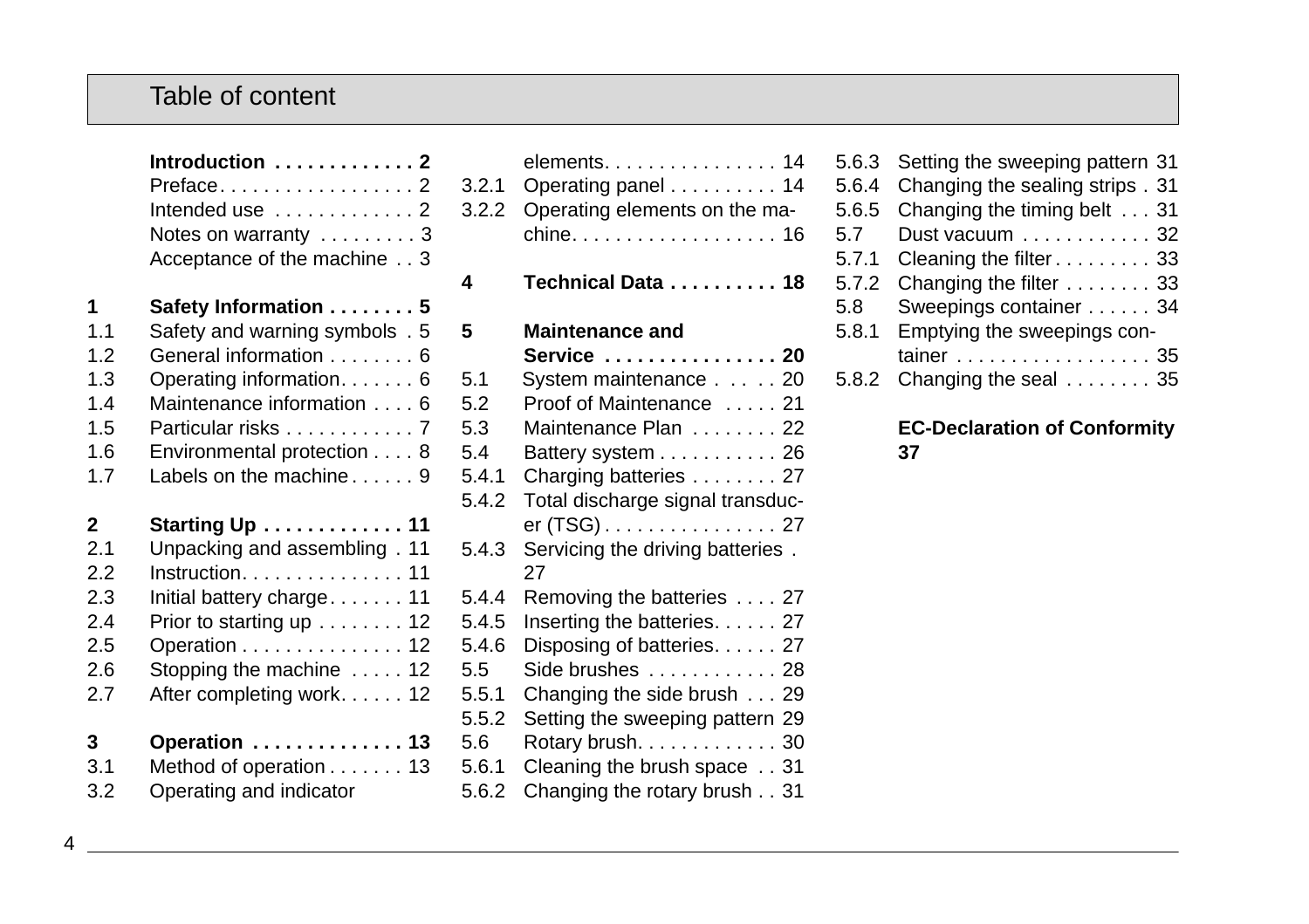# Table of content

**Introduction . . . . . . . . . . . . . 2**

|     | Preface2<br>Intended use $\dots\dots\dots\dots$ .<br>Notes on warranty  3<br>Acceptance of the machine 3 |
|-----|----------------------------------------------------------------------------------------------------------|
| 1   | Safety Information 5                                                                                     |
| 1.1 | Safety and warning symbols . 5                                                                           |
| 1.2 | General information 6                                                                                    |
| 1.3 | Operating information 6                                                                                  |
| 1.4 | Maintenance information 6                                                                                |
| 1.5 | Particular risks 7                                                                                       |
| 1.6 | Environmental protection 8                                                                               |
| 1.7 | Labels on the machine 9                                                                                  |
| 2   | Starting Up  11                                                                                          |
| 2.1 | Unpacking and assembling . 11                                                                            |
| 22  | $Instruction. \ldots. \ldots. \ldots. \ldots. 11$                                                        |
| 2.3 | Initial battery charge. 11                                                                               |
| 2.4 | Prior to starting up 12                                                                                  |
| 2.5 | Operation 12                                                                                             |
| 2.6 | Stopping the machine $\dots$ . 12                                                                        |
| 2.7 | After completing work. 12                                                                                |
| 3   | Operation  13                                                                                            |
| 3.1 | Method of operation 13                                                                                   |
| 3.2 | Operating and indicator                                                                                  |

| 3.2.1<br>3.2.2 | elements. 14<br>Operating panel 14<br>Operating elements on the ma- |
|----------------|---------------------------------------------------------------------|
| 4              | Technical Data 18                                                   |
| 5              | <b>Maintenance and</b>                                              |
|                | Service  20                                                         |
| 5.1            | System maintenance 20                                               |
| 5.2            | Proof of Maintenance  21                                            |
| 5.3            | Maintenance Plan  22                                                |
| 5.4            | Battery system 26                                                   |
| 5.4.1          | Charging batteries 27                                               |
| 5.4.2          | Total discharge signal transduc-                                    |
|                | er (TSG) 27                                                         |
| 5.4.3          | Servicing the driving batteries.<br>27                              |
| 5.4.4          | Removing the batteries 27                                           |
| 5.4.5          | Inserting the batteries 27                                          |
| 5.4.6          | Disposing of batteries. 27                                          |
| 5.5            | Side brushes  28                                                    |
| 5.5.1          | Changing the side brush 29                                          |
| 5.5.2          | Setting the sweeping pattern 29                                     |
| 5.6            | Rotary brush. 30                                                    |
| 5.6.1          | Cleaning the brush space 31                                         |
| 5.6.2          | Changing the rotary brush 31                                        |

| 5.6.3 | Setting the sweeping pattern 31  |
|-------|----------------------------------|
| 5.6.4 | Changing the sealing strips . 31 |
| 5.6.5 | Changing the timing belt 31      |
| 5.7   | Dust vacuum 32                   |
| 5.7.1 | Cleaning the filter 33           |
| 5.7.2 | Changing the filter 33           |
| 5.8   | Sweepings container 34           |
| 5.8.1 | Emptying the sweepings con-      |
|       | tainer 35                        |
| 5.8.2 | Changing the seal 35             |
|       |                                  |

#### **EC-Declaration of Conformity 37**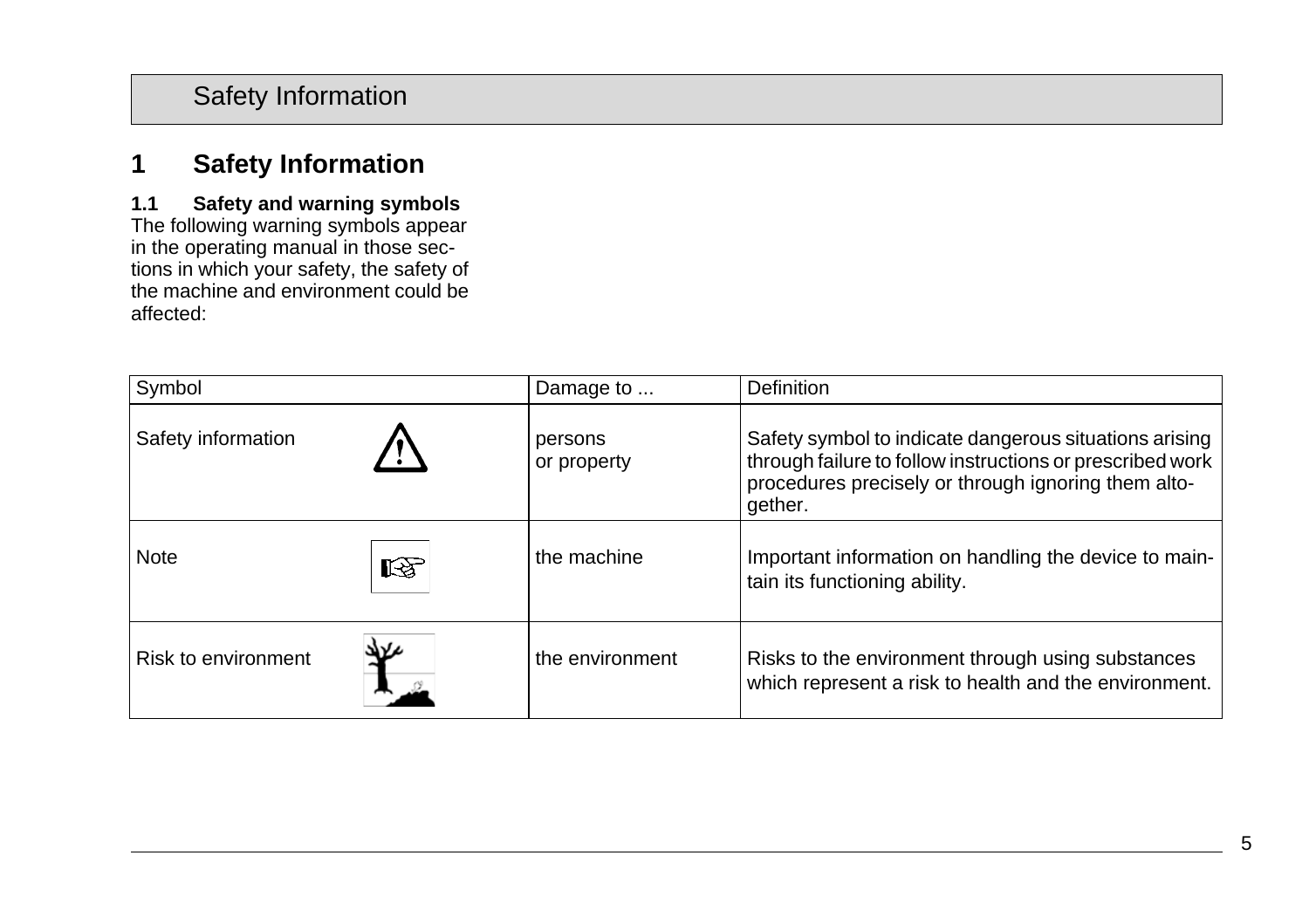# **1.1 Safety and warning symbols**

The following warning symbols appear in the operating manual in those sections in which your safety, the safety of the machine and environment could be affected:

| Symbol              |   | Damage to              | Definition                                                                                                                                                                            |
|---------------------|---|------------------------|---------------------------------------------------------------------------------------------------------------------------------------------------------------------------------------|
| Safety information  |   | persons<br>or property | Safety symbol to indicate dangerous situations arising<br>through failure to follow instructions or prescribed work<br>procedures precisely or through ignoring them alto-<br>gether. |
| <b>Note</b>         | 咚 | the machine            | Important information on handling the device to main-<br>tain its functioning ability.                                                                                                |
| Risk to environment |   | the environment        | Risks to the environment through using substances<br>which represent a risk to health and the environment.                                                                            |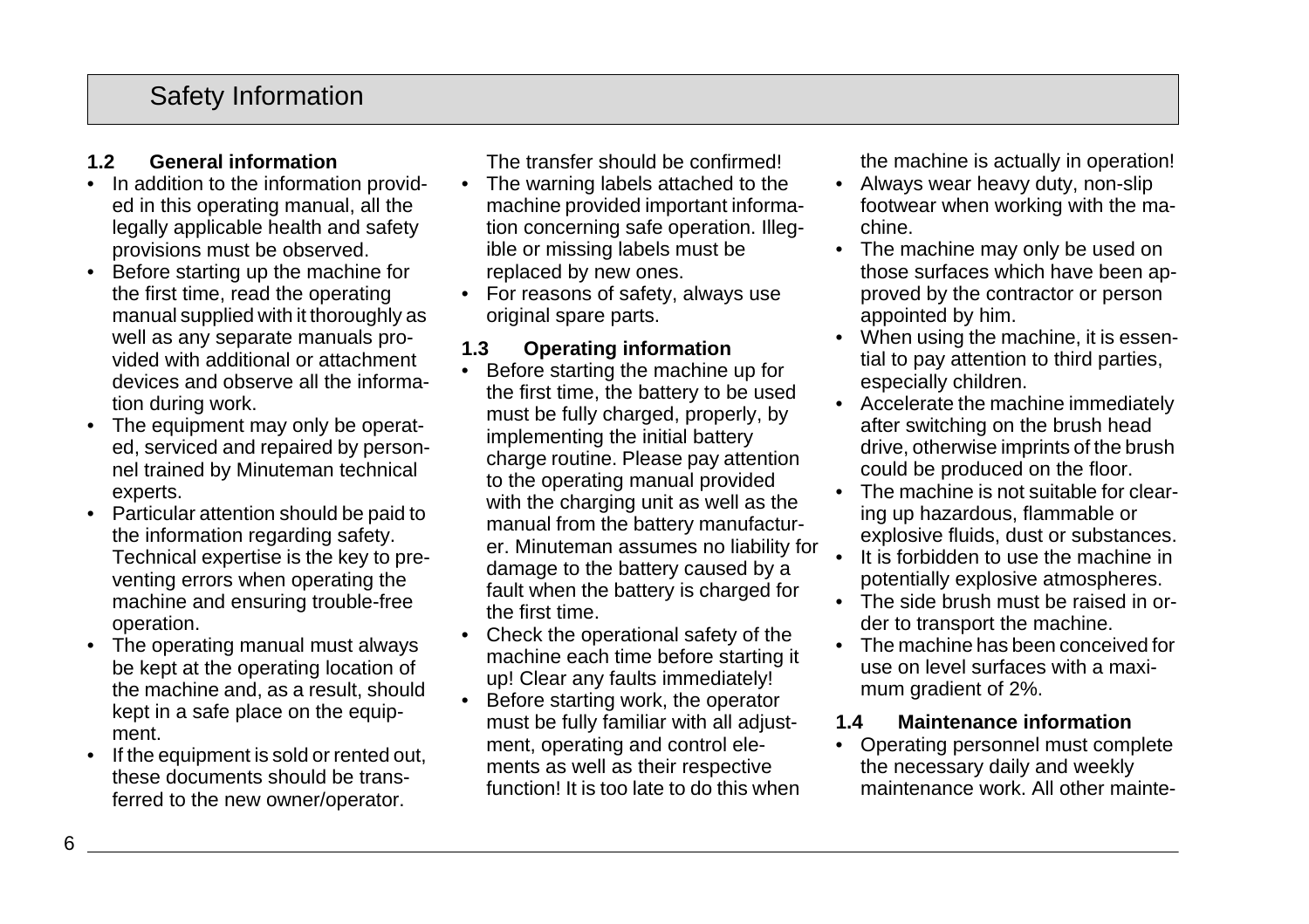## **1.2 General information**

- In addition to the information provided in this operating manual, all the legally applicable health and safety provisions must be observed.
- Before starting up the machine for the first time, read the operating manual supplied with it thoroughly as well as any separate manuals provided with additional or attachment devices and observe all the information during work.
- The equipment may only be operated, serviced and repaired by personnel trained by Minuteman technical experts.
- Particular attention should be paid to the information regarding safety. Technical expertise is the key to preventing errors when operating the machine and ensuring trouble-free operation.
- The operating manual must always be kept at the operating location of the machine and, as a result, should kept in a safe place on the equipment.
- If the equipment is sold or rented out, these documents should be transferred to the new owner/operator.

The transfer should be confirmed!

- The warning labels attached to the machine provided important information concerning safe operation. Illegible or missing labels must be replaced by new ones.
- For reasons of safety, always use original spare parts.

### **1.3 Operating information**

- Before starting the machine up for the first time, the battery to be used must be fully charged, properly, by implementing the initial battery charge routine. Please pay attention to the operating manual provided with the charging unit as well as the manual from the battery manufacturer. Minuteman assumes no liability for damage to the battery caused by a fault when the battery is charged for the first time.
- Check the operational safety of the machine each time before starting it up! Clear any faults immediately!
- Before starting work, the operator must be fully familiar with all adjustment, operating and control elements as well as their respective function! It is too late to do this when

the machine is actually in operation!

- Always wear heavy duty, non-slip footwear when working with the machine.
- The machine may only be used on those surfaces which have been approved by the contractor or person appointed by him.
- When using the machine, it is essential to pay attention to third parties, especially children.
- Accelerate the machine immediately after switching on the brush head drive, otherwise imprints of the brush could be produced on the floor.
- The machine is not suitable for clearing up hazardous, flammable or explosive fluids, dust or substances.
- It is forbidden to use the machine in potentially explosive atmospheres.
- The side brush must be raised in order to transport the machine.
- The machine has been conceived for use on level surfaces with a maximum gradient of 2%.

#### **1.4 Maintenance information**

• Operating personnel must complete the necessary daily and weekly maintenance work. All other mainte-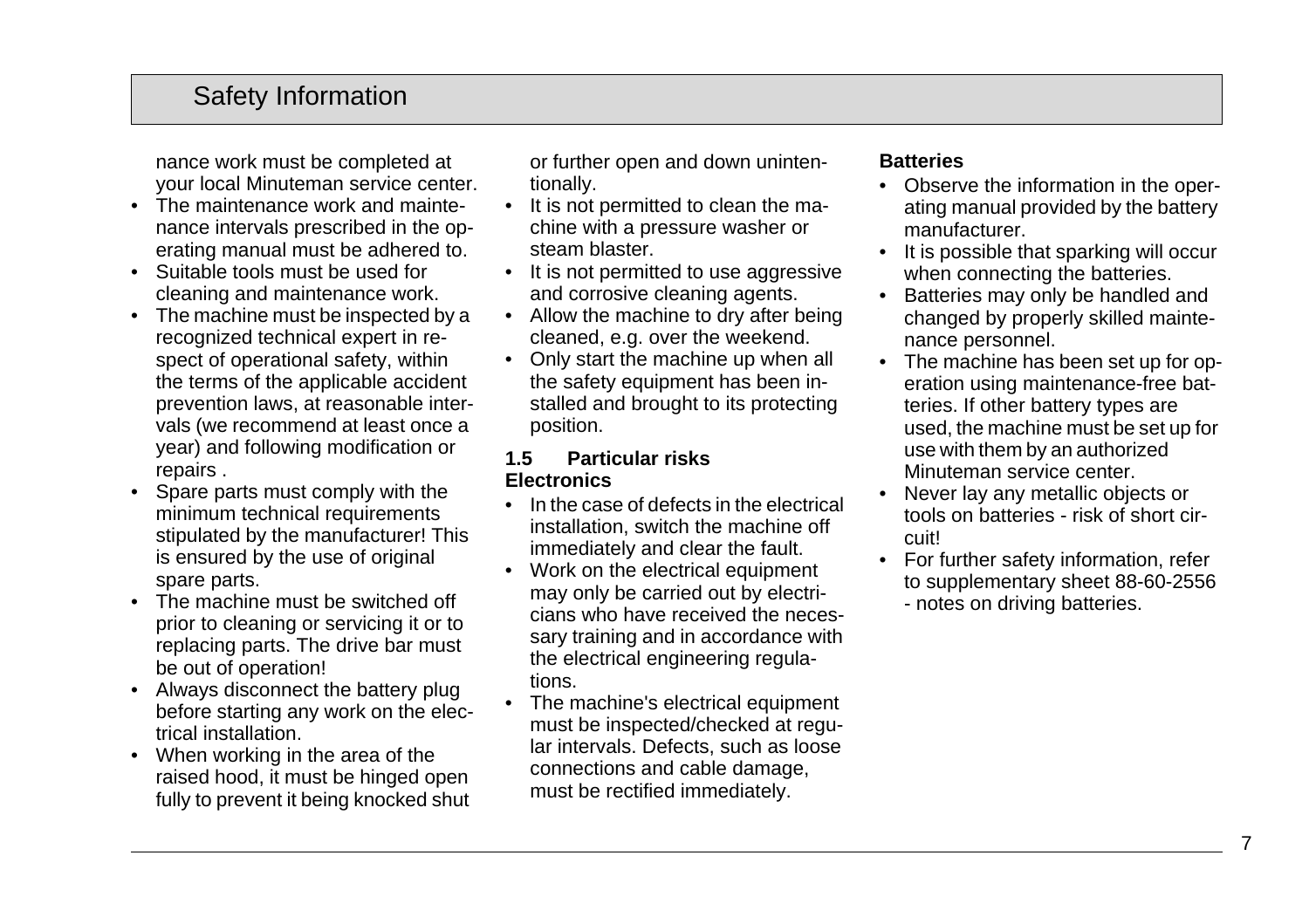nance work must be completed at your local Minuteman service center.

- The maintenance work and maintenance intervals prescribed in the operating manual must be adhered to.
- Suitable tools must be used for cleaning and maintenance work.
- The machine must be inspected by a recognized technical expert in respect of operational safety, within the terms of the applicable accident prevention laws, at reasonable intervals (we recommend at least once a year) and following modification or repairs .
- Spare parts must comply with the minimum technical requirements stipulated by the manufacturer! This is ensured by the use of original spare parts.
- The machine must be switched off prior to cleaning or servicing it or to replacing parts. The drive bar must be out of operation!
- Always disconnect the battery plug before starting any work on the electrical installation.
- When working in the area of the raised hood, it must be hinged open fully to prevent it being knocked shut

or further open and down unintentionally.

- It is not permitted to clean the machine with a pressure washer or steam blaster.
- It is not permitted to use aggressive and corrosive cleaning agents.
- Allow the machine to dry after being cleaned, e.g. over the weekend.
- Only start the machine up when all the safety equipment has been installed and brought to its protecting position.

#### **1.5 Particular risks Electronics**

- In the case of defects in the electrical installation, switch the machine off immediately and clear the fault.
- Work on the electrical equipment may only be carried out by electricians who have received the necessary training and in accordance with the electrical engineering regulations.
- The machine's electrical equipment must be inspected/checked at regular intervals. Defects, such as loose connections and cable damage, must be rectified immediately.

#### **Batteries**

- Observe the information in the operating manual provided by the battery manufacturer.
- It is possible that sparking will occur when connecting the batteries.
- Batteries may only be handled and changed by properly skilled maintenance personnel.
- The machine has been set up for operation using maintenance-free batteries. If other battery types are used, the machine must be set up for use with them by an authorized Minuteman service center.
- Never lay any metallic objects or tools on batteries - risk of short circuit!
- For further safety information, refer to supplementary sheet 88-60-2556 - notes on driving batteries.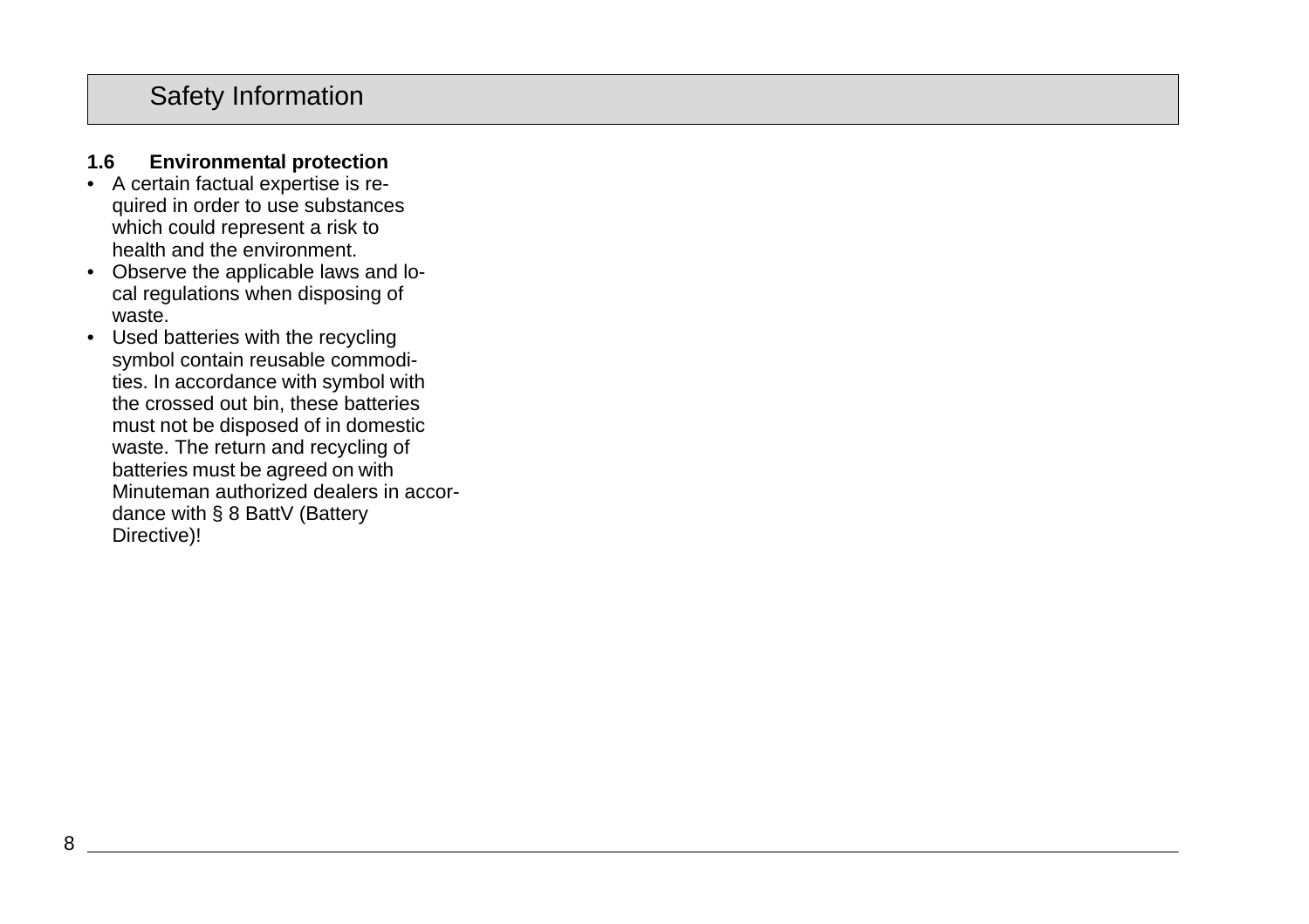### **1.6 Environmental protection**

- A certain factual expertise is required in order to use substances which could represent a risk to health and the environment.
- Observe the applicable laws and local regulations when disposing of waste.
- Used batteries with the recycling symbol contain reusable commodities. In accordance with symbol with the crossed out bin, these batteries must not be disposed of in domestic waste. The return and recycling of batteries must be agreed on with Minuteman authorized dealers in accordance with § 8 BattV (Battery Directive)!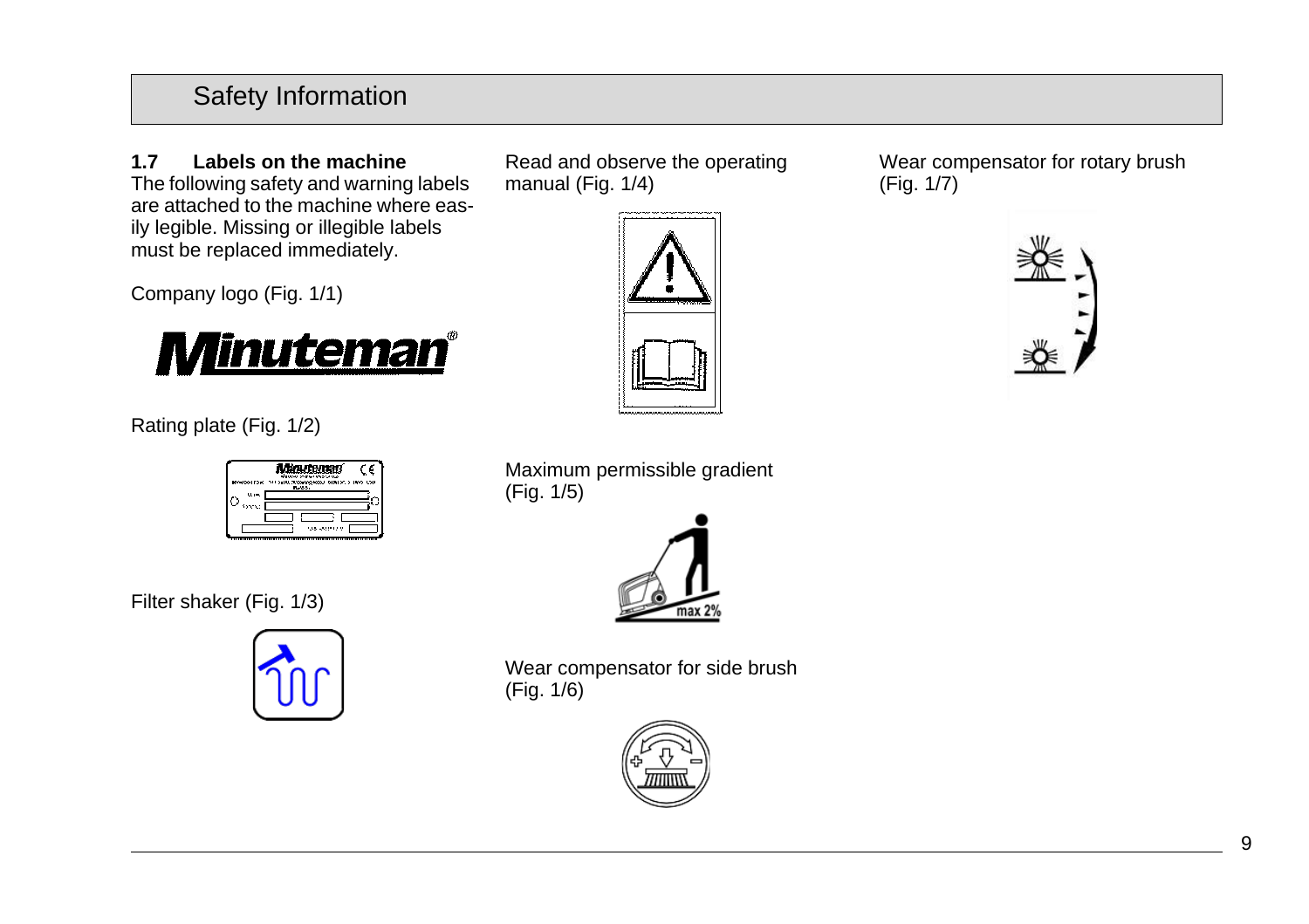**1.7 Labels on the machine** The following safety and warning labels are attached to the machine where easily legible. Missing or illegible labels must be replaced immediately.

Company logo (Fig. 1/1)



Rating plate (Fig. 1/2)

| VIWA STEPHENOMA<br>trowng waa tatun > uno 1004.<br>Tunoo<br>$\mathbf{u}$ |
|--------------------------------------------------------------------------|
|                                                                          |
| 15                                                                       |

Filter shaker (Fig. 1/3)



Read and observe the operating manual (Fig. 1/4)



Wear compensator for rotary brush (Fig. 1/7)



Maximum permissible gradient (Fig. 1/5)



Wear compensator for side brush (Fig. 1/6)

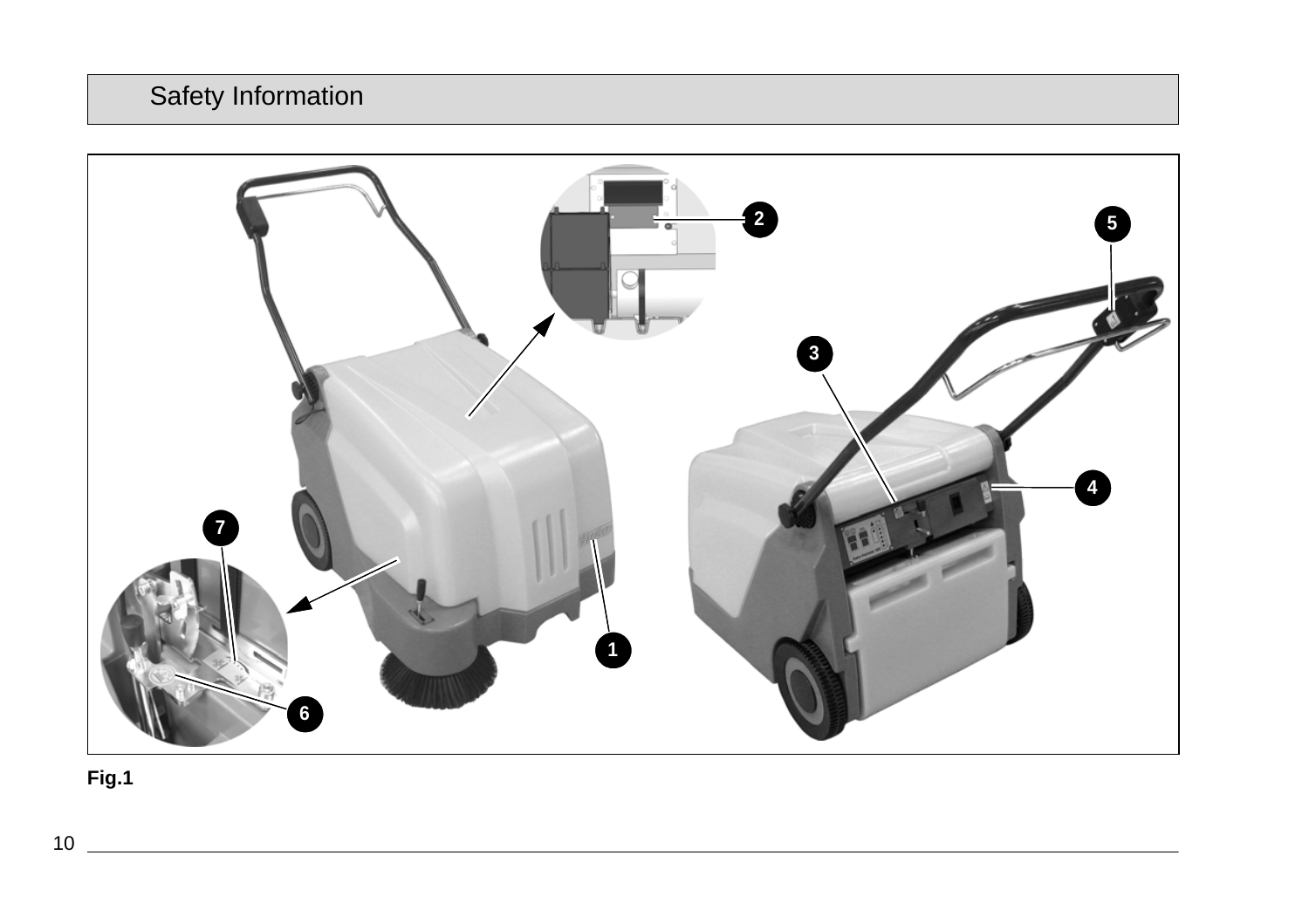

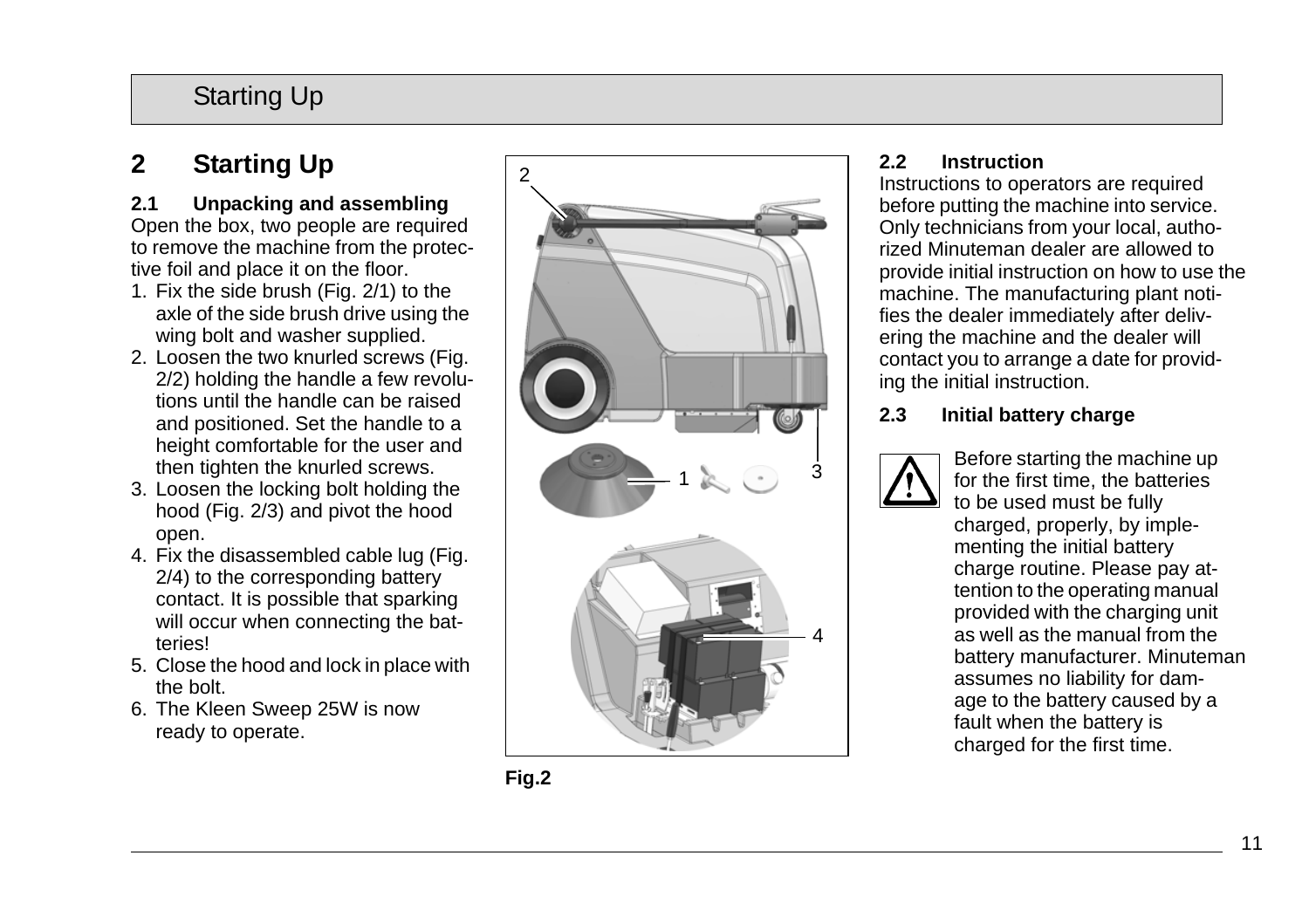# Starting Up

# **2 Starting Up**

### **2.1 Unpacking and assembling**

Open the box, two people are required to remove the machine from the protective foil and place it on the floor.

- 1. Fix the side brush (Fig. 2/1) to the axle of the side brush drive using the wing bolt and washer supplied.
- 2. Loosen the two knurled screws (Fig. 2/2) holding the handle a few revolutions until the handle can be raised and positioned. Set the handle to a height comfortable for the user and then tighten the knurled screws.
- 3. Loosen the locking bolt holding the hood (Fig. 2/3) and pivot the hood open.
- 4. Fix the disassembled cable lug (Fig. 2/4) to the corresponding battery contact. It is possible that sparking will occur when connecting the batteries!
- 5. Close the hood and lock in place with the bolt.
- 6. The Kleen Sweep 25W is now ready to operate.



# **2.2 Instruction**

Instructions to operators are required before putting the machine into service. Only technicians from your local, authorized Minuteman dealer are allowed to provide initial instruction on how to use the machine. The manufacturing plant notifies the dealer immediately after delivering the machine and the dealer will contact you to arrange a date for providing the initial instruction.

### **2.3 Initial battery charge**



Before starting the machine up for the first time, the batteries to be used must be fully charged, properly, by implementing the initial battery charge routine. Please pay attention to the operating manual provided with the charging unit as well as the manual from the battery manufacturer. Minuteman assumes no liability for damage to the battery caused by a fault when the battery is charged for the first time.

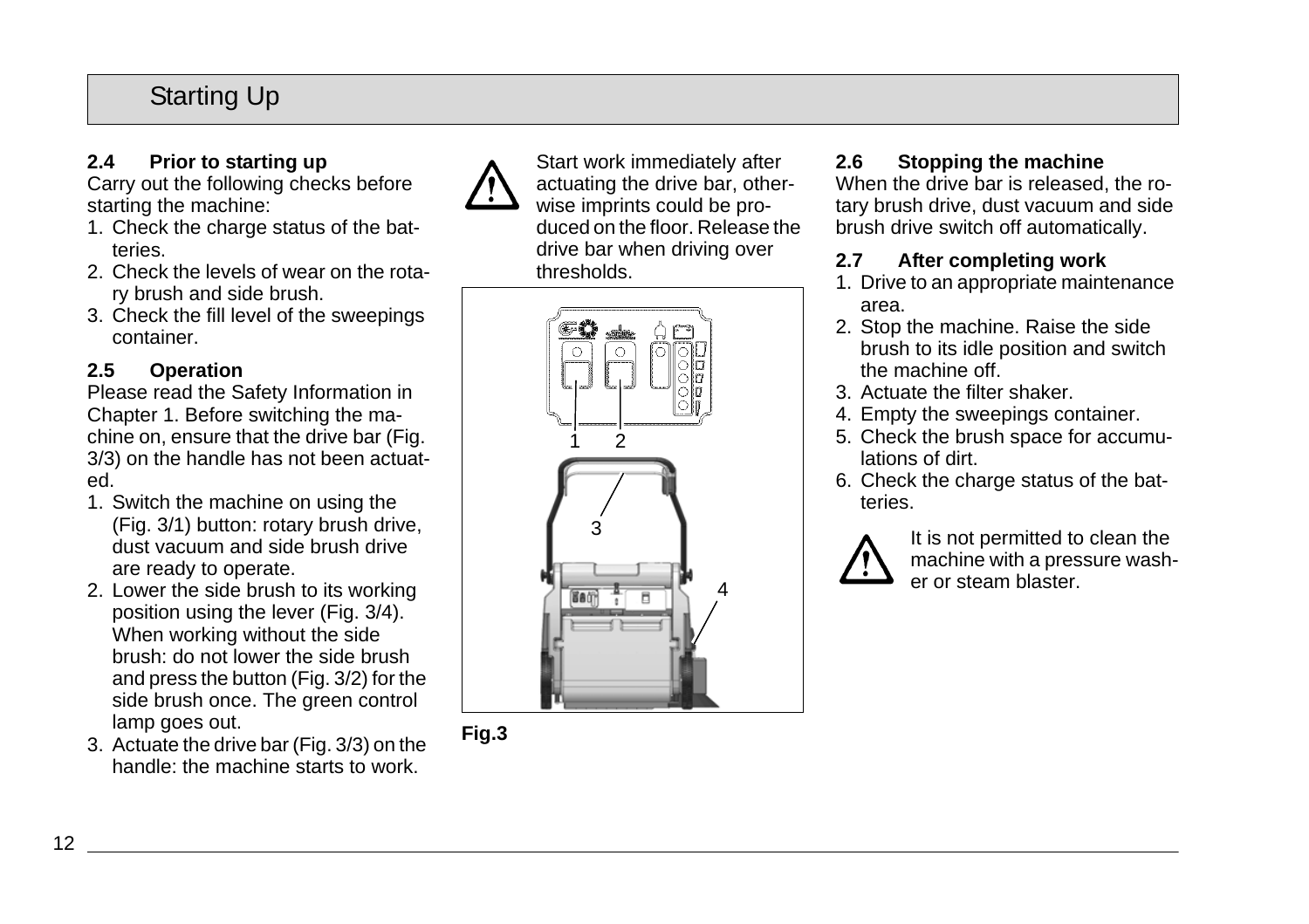# Starting Up

# **2.4 Prior to starting up**

Carry out the following checks before starting the machine:

- 1. Check the charge status of the batteries.
- 2. Check the levels of wear on the rotary brush and side brush.
- 3. Check the fill level of the sweepings container.

## **2.5 Operation**

Please read the Safety Information in Chapter 1. Before switching the machine on, ensure that the drive bar (Fig. 3/3) on the handle has not been actuated.

- 1. Switch the machine on using the (Fig. 3/1) button: rotary brush drive, dust vacuum and side brush drive are ready to operate.
- 2. Lower the side brush to its working position using the lever (Fig. 3/4). When working without the side brush: do not lower the side brush and press the button (Fig. 3/2) for the side brush once. The green control lamp goes out.
- 3. Actuate the drive bar (Fig. 3/3) on the handle: the machine starts to work.



Start work immediately after actuating the drive bar, otherwise imprints could be produced on the floor. Release the drive bar when driving over thresholds.





# **2.6 Stopping the machine**

When the drive bar is released, the rotary brush drive, dust vacuum and side brush drive switch off automatically.

### **2.7 After completing work**

- 1. Drive to an appropriate maintenance area.
- 2. Stop the machine. Raise the side brush to its idle position and switch the machine off.
- 3. Actuate the filter shaker.
- 4. Empty the sweepings container.
- 5. Check the brush space for accumulations of dirt.
- 6. Check the charge status of the batteries.



It is not permitted to clean the machine with a pressure washer or steam blaster.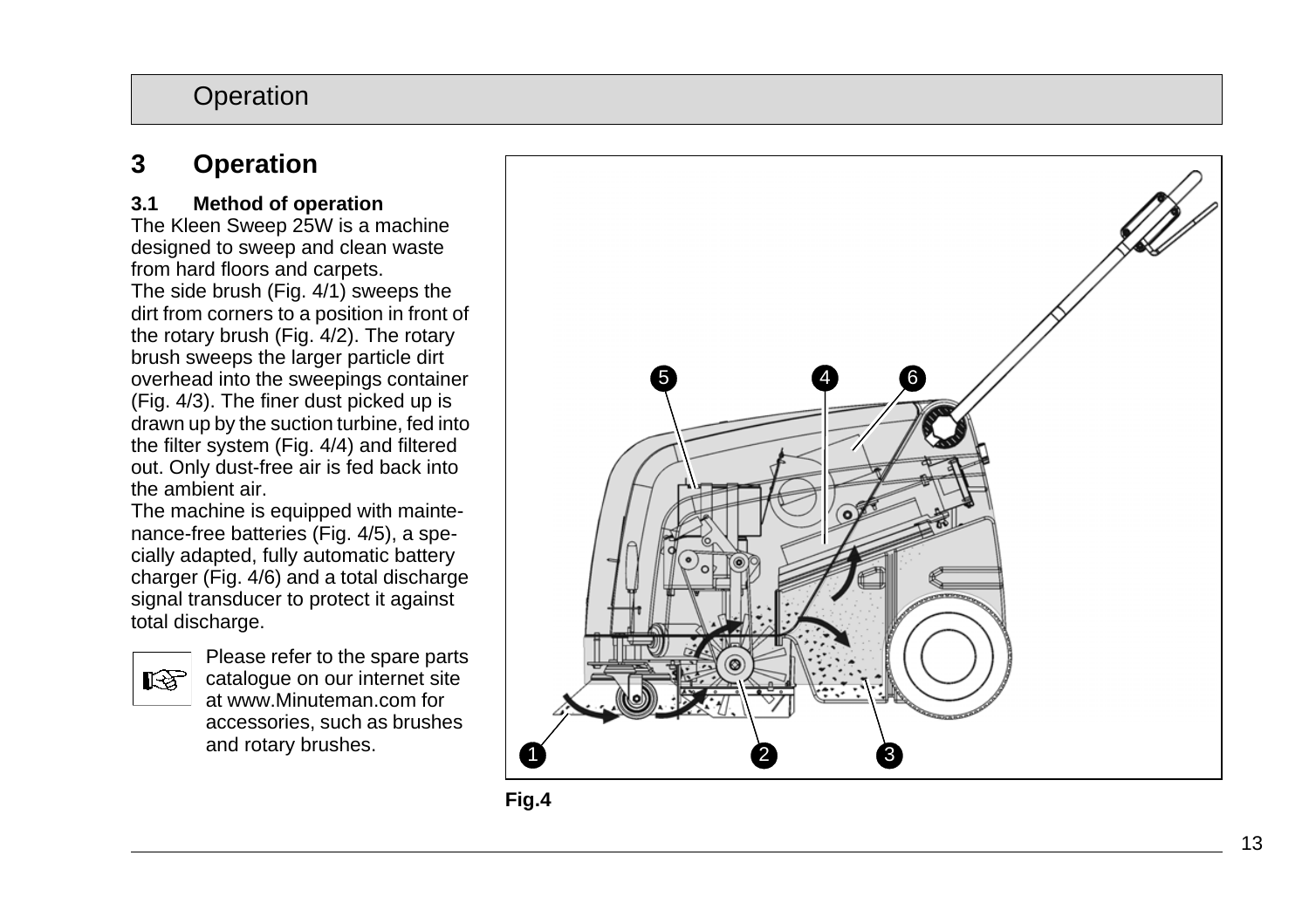# **3 Operation**

### **3.1 Method of operation**

The Kleen Sweep 25W is a machine designed to sweep and clean waste from hard floors and carpets. The side brush (Fig. 4/1) sweeps the dirt from corners to a position in front of the rotary brush (Fig. 4/2). The rotary brush sweeps the larger particle dirt overhead into the sweepings container (Fig. 4/3). The finer dust picked up is drawn up by the suction turbine, fed into the filter system (Fig. 4/4) and filtered out. Only dust-free air is fed back into the ambient air.

The machine is equipped with maintenance-free batteries (Fig. 4/5), a specially adapted, fully automatic battery charger (Fig. 4/6) and a total discharge signal transducer to protect it against total discharge.



Please refer to the spare parts catalogue on our internet site at www.Minuteman.com for accessories, such as brushes and rotary brushes.



**Fig.4**1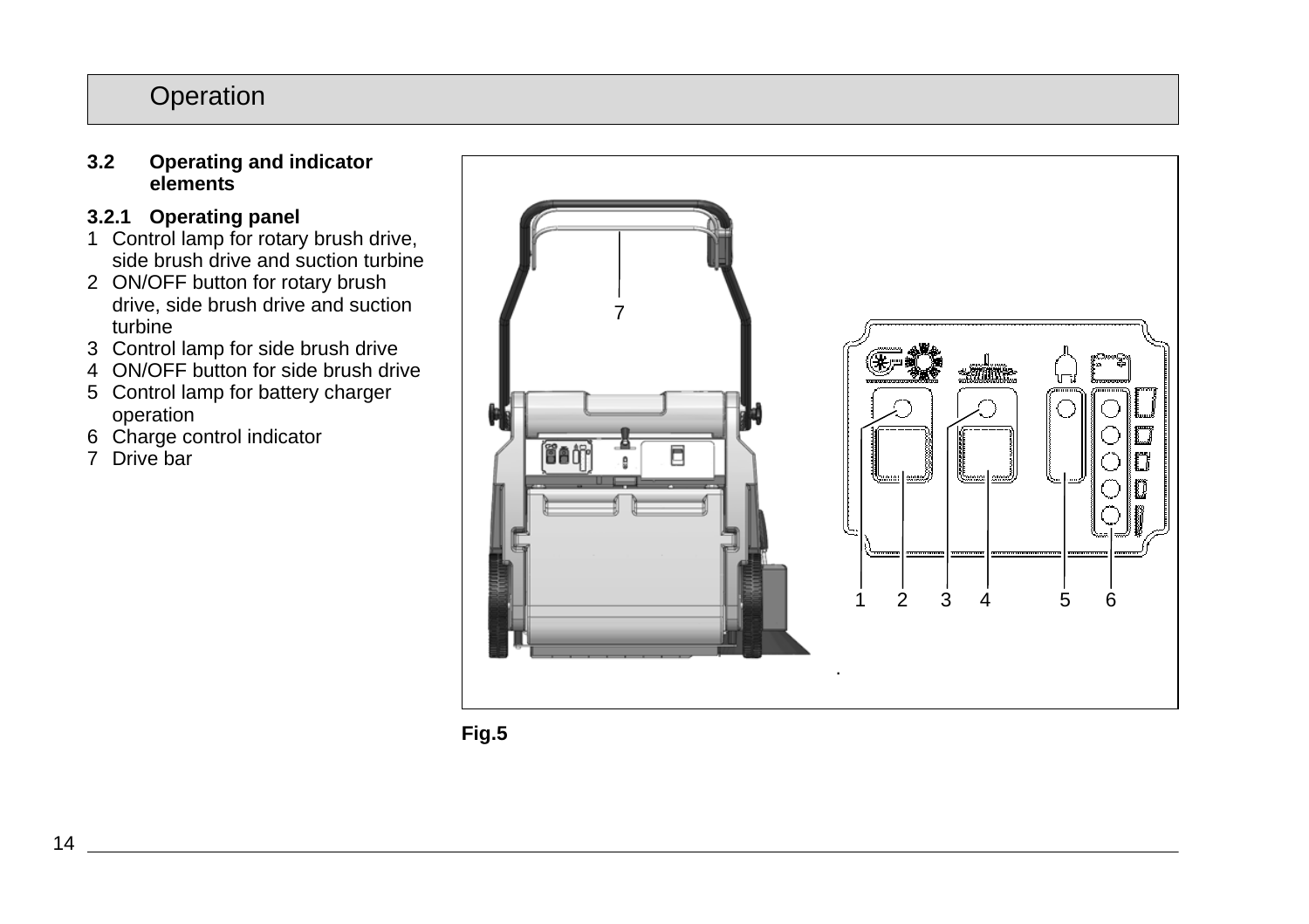#### **3.2 Operating and indicator elements**

# **3.2.1 Operating panel**

- 1 Control lamp for rotary brush drive, side brush drive and suction turbine
- 2 ON/OFF button for rotary brush drive, side brush drive and suction turbine
- 3 Control lamp for side brush drive
- 4 ON/OFF button for side brush drive
- 5 Control lamp for battery charger operation
- 6 Charge control indicator
- 7 Drive bar



**Fig.5**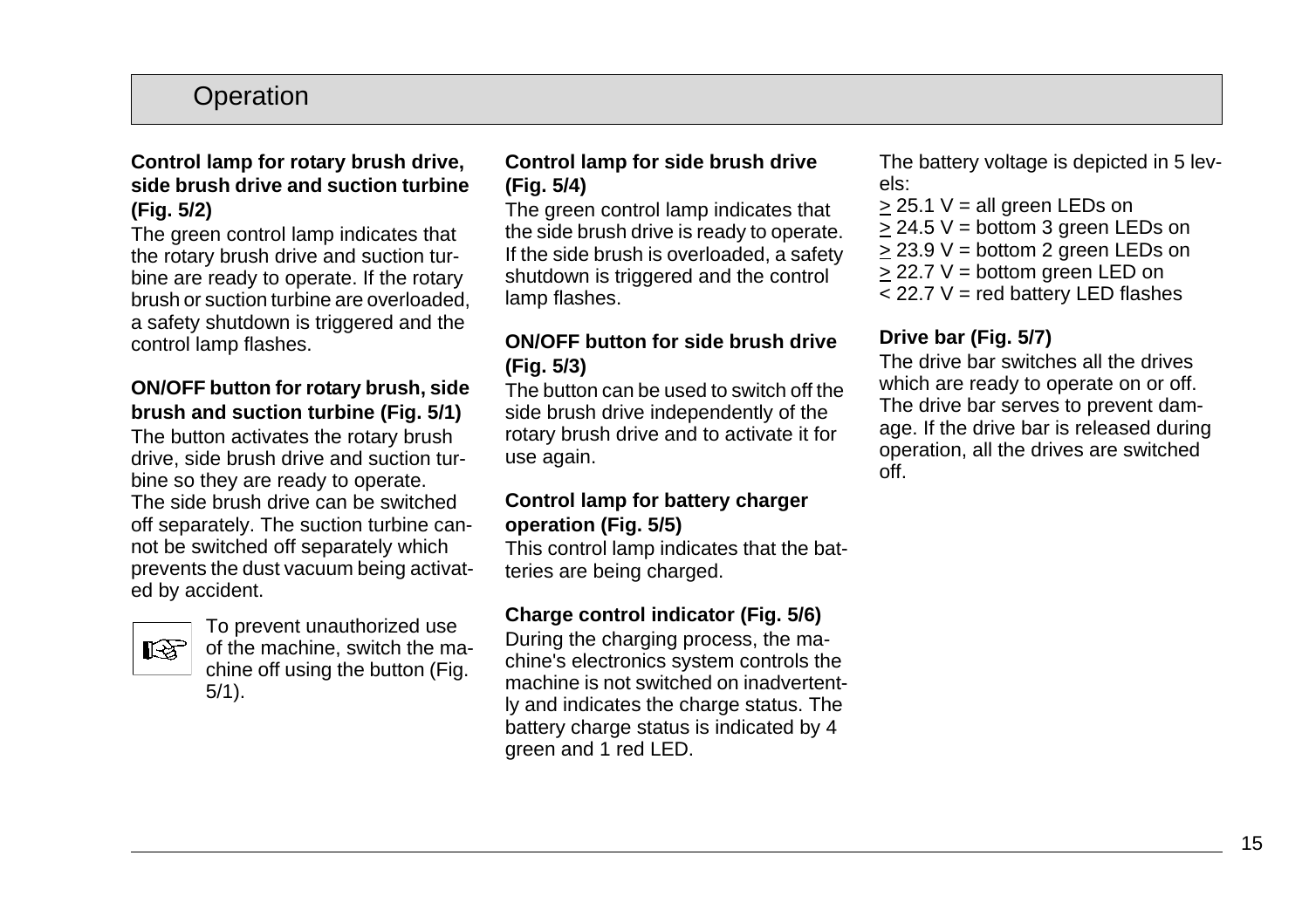### **Control lamp for rotary brush drive, side brush drive and suction turbine (Fig. 5/2)**

The green control lamp indicates that the rotary brush drive and suction turbine are ready to operate. If the rotary brush or suction turbine are overloaded, a safety shutdown is triggered and the control lamp flashes.

#### **ON/OFF button for rotary brush, side brush and suction turbine (Fig. 5/1)**

The button activates the rotary brush drive, side brush drive and suction turbine so they are ready to operate. The side brush drive can be switched off separately. The suction turbine cannot be switched off separately which prevents the dust vacuum being activated by accident.



To prevent unauthorized use of the machine, switch the machine off using the button (Fig. 5/1).

### **Control lamp for side brush drive (Fig. 5/4)**

The green control lamp indicates that the side brush drive is ready to operate. If the side brush is overloaded, a safety shutdown is triggered and the control lamp flashes.

### **ON/OFF button for side brush drive (Fig. 5/3)**

The button can be used to switch off the side brush drive independently of the rotary brush drive and to activate it for use again.

#### **Control lamp for battery charger operation (Fig. 5/5)**

This control lamp indicates that the batteries are being charged.

### **Charge control indicator (Fig. 5/6)**

During the charging process, the machine's electronics system controls the machine is not switched on inadvertently and indicates the charge status. The battery charge status is indicated by 4 green and 1 red LED.

The battery voltage is depicted in 5 levels:

- $> 25.1$  V = all green LEDs on
- $>$  24.5 V = bottom 3 green LEDs on
- > 23.9 V = bottom 2 green LEDs on
- > 22.7 V = bottom green LED on
- $<$  22.7 V = red battery LED flashes

## **Drive bar (Fig. 5/7)**

The drive bar switches all the drives which are ready to operate on or off. The drive bar serves to prevent damage. If the drive bar is released during operation, all the drives are switched off.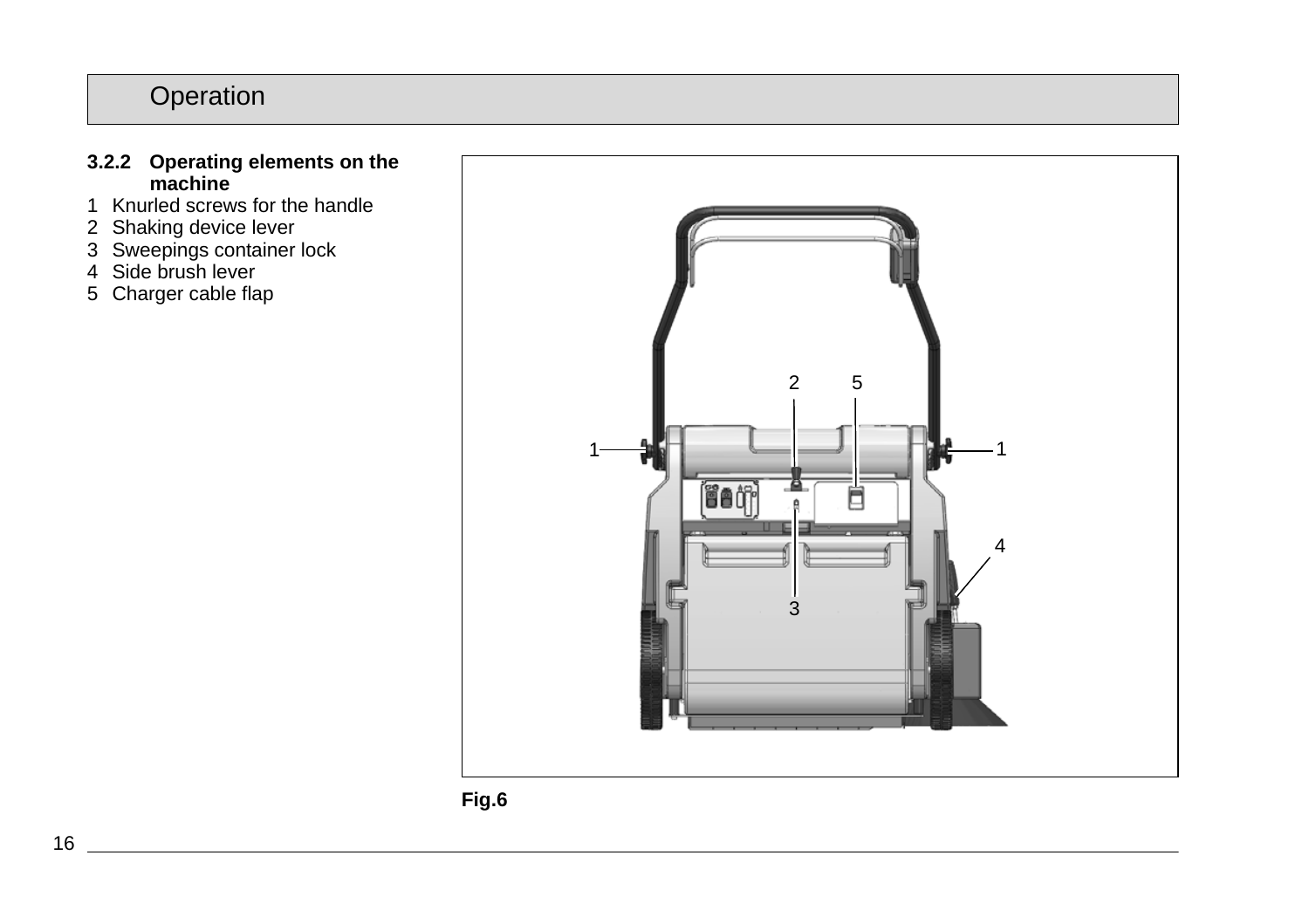### **3.2.2 Operating elements on the machine**

- 1 Knurled screws for the handle
- 2 Shaking device lever
- 3 Sweepings container lock
- 4 Side brush lever
- 5 Charger cable flap



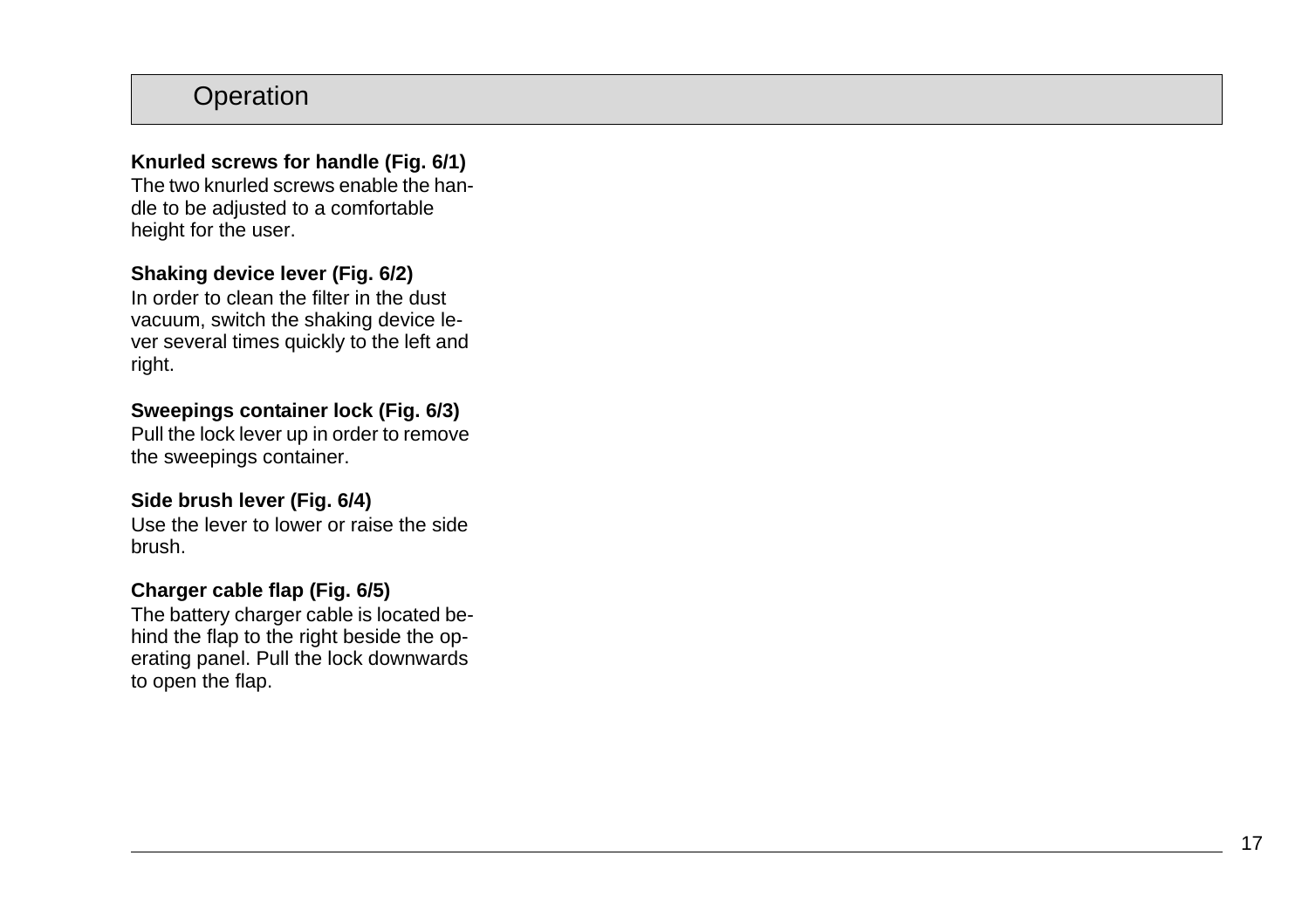### **Knurled screws for handle (Fig. 6/1)**

The two knurled screws enable the handle to be adjusted to a comfortable height for the user.

### **Shaking device lever (Fig. 6/2)**

In order to clean the filter in the dust vacuum, switch the shaking device lever several times quickly to the left and right.

### **Sweepings container lock (Fig. 6/3)**

Pull the lock lever up in order to remove the sweepings container.

### **Side brush lever (Fig. 6/4)**

Use the lever to lower or raise the side brush.

### **Charger cable flap (Fig. 6/5)**

The battery charger cable is located behind the flap to the right beside the operating panel. Pull the lock downwards to open the flap.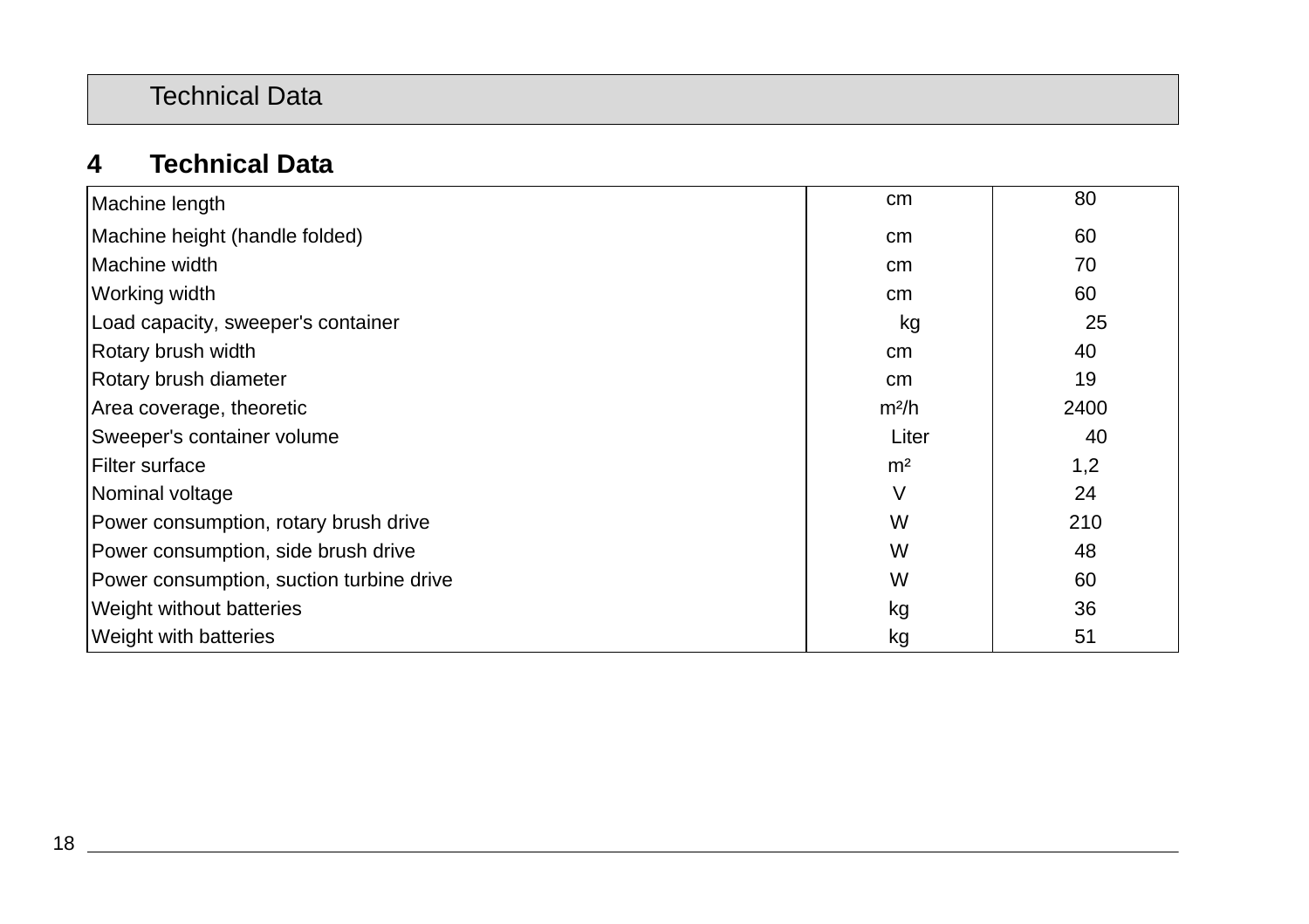# Technical Data

# **4 Technical Data**

| Machine length                           | cm                | 80   |
|------------------------------------------|-------------------|------|
| Machine height (handle folded)           | cm                | 60   |
| Machine width                            | cm                | 70   |
| Working width                            | cm                | 60   |
| Load capacity, sweeper's container       | kg                | 25   |
| Rotary brush width                       | cm                | 40   |
| Rotary brush diameter                    | <sub>cm</sub>     | 19   |
| Area coverage, theoretic                 | m <sup>2</sup> /h | 2400 |
| Sweeper's container volume               | Liter             | 40   |
| Filter surface                           | m <sup>2</sup>    | 1,2  |
| Nominal voltage                          | V                 | 24   |
| Power consumption, rotary brush drive    | W                 | 210  |
| Power consumption, side brush drive      | W                 | 48   |
| Power consumption, suction turbine drive | W                 | 60   |
| Weight without batteries                 | kg                | 36   |
| Weight with batteries                    | kg                | 51   |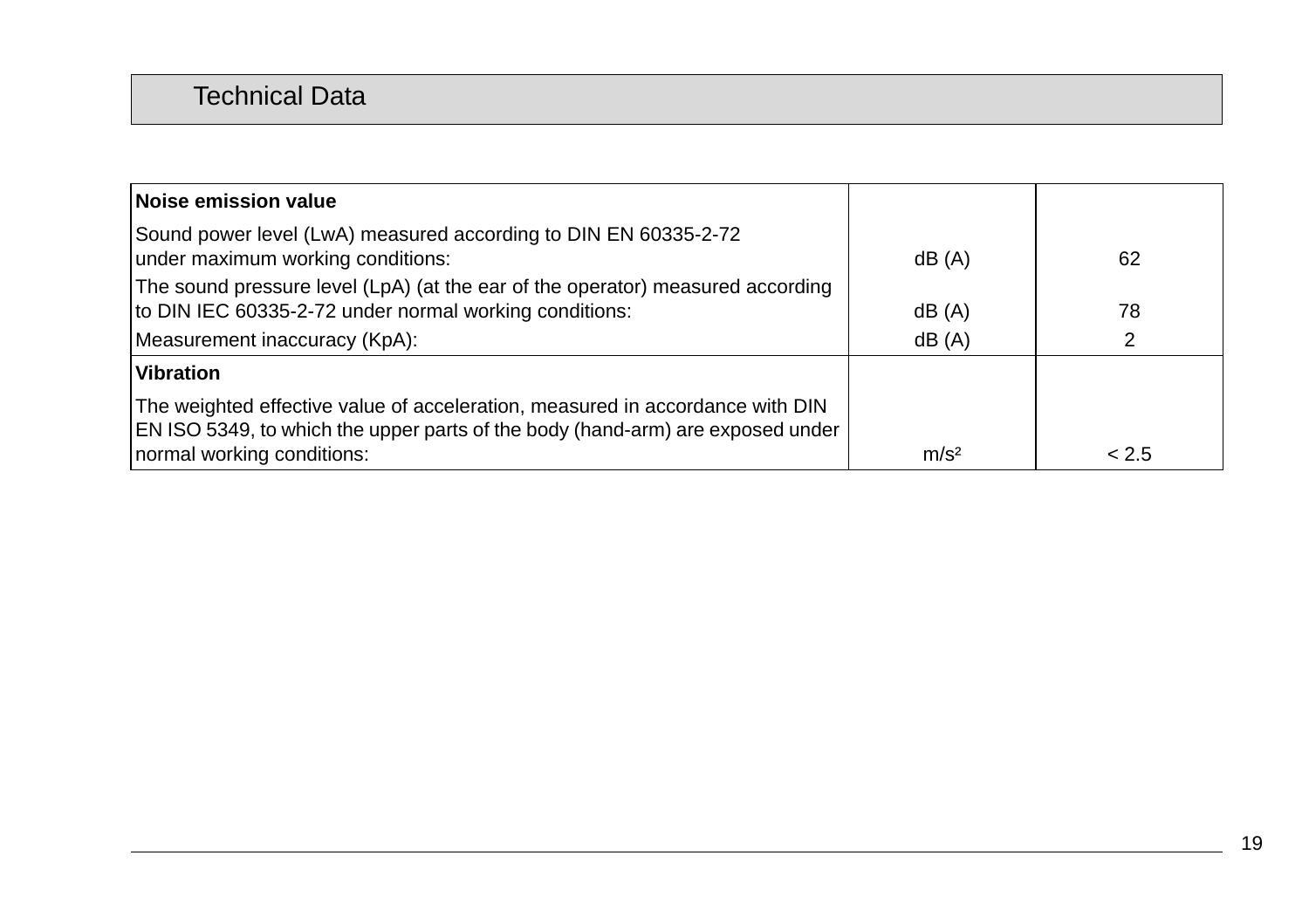# Technical Data

| Noise emission value                                                                                                                                            |                  |       |
|-----------------------------------------------------------------------------------------------------------------------------------------------------------------|------------------|-------|
| Sound power level (LwA) measured according to DIN EN 60335-2-72<br>under maximum working conditions:                                                            | dB(A)            | 62    |
| The sound pressure level (LpA) (at the ear of the operator) measured according<br>to DIN IEC 60335-2-72 under normal working conditions:                        | dB (A)           | 78    |
| Measurement inaccuracy (KpA):                                                                                                                                   | dB(A)            | 2     |
| <b>Vibration</b>                                                                                                                                                |                  |       |
| The weighted effective value of acceleration, measured in accordance with DIN<br>EN ISO 5349, to which the upper parts of the body (hand-arm) are exposed under |                  |       |
| normal working conditions:                                                                                                                                      | m/s <sup>2</sup> | < 2.5 |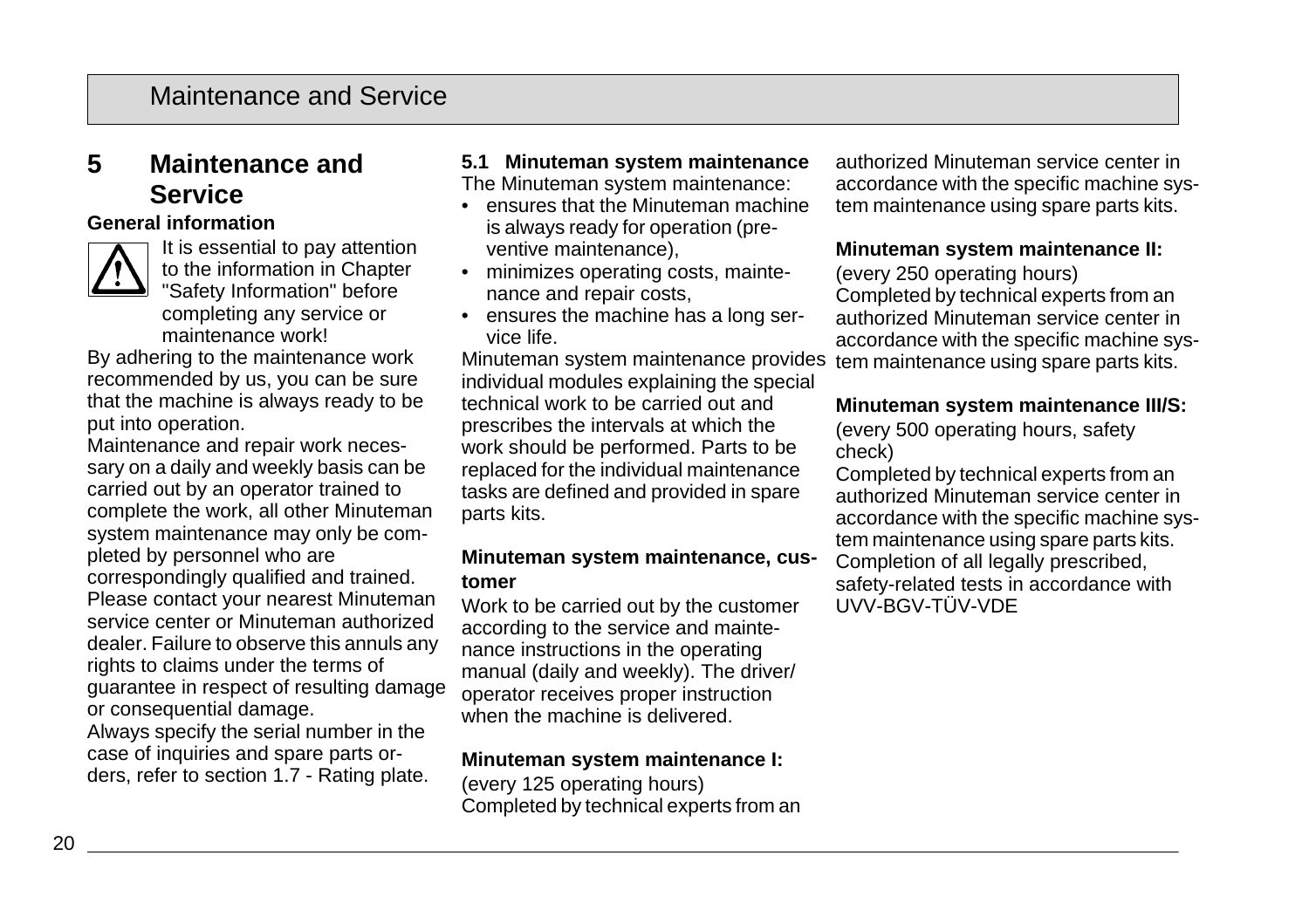# **5 Maintenance and Service**

#### **General information**



It is essential to pay attention to the information in Chapter "Safety Information" before completing any service or maintenance work!

By adhering to the maintenance work recommended by us, you can be sure that the machine is always ready to be put into operation.

Maintenance and repair work necessary on a daily and weekly basis can be carried out by an operator trained to complete the work, all other Minuteman system maintenance may only be completed by personnel who are correspondingly qualified and trained. Please contact your nearest Minuteman service center or Minuteman authorized dealer. Failure to observe this annuls any rights to claims under the terms of guarantee in respect of resulting damage or consequential damage.

Always specify the serial number in the case of inquiries and spare parts orders, refer to section 1.7 - Rating plate.

#### **5.1 Minuteman system maintenance** The Minuteman system maintenance:

- ensures that the Minuteman machine is always ready for operation (preventive maintenance),
- minimizes operating costs, maintenance and repair costs,
- ensures the machine has a long service life.

Minuteman system maintenance provides individual modules explaining the special technical work to be carried out and prescribes the intervals at which the work should be performed. Parts to be replaced for the individual maintenance tasks are defined and provided in spare parts kits.

#### **Minuteman system maintenance, customer**

Work to be carried out by the customer according to the service and maintenance instructions in the operating manual (daily and weekly). The driver/ operator receives proper instruction when the machine is delivered.

#### **Minuteman system maintenance I:**

(every 125 operating hours) Completed by technical experts from an authorized Minuteman service center in accordance with the specific machine system maintenance using spare parts kits.

#### **Minuteman system maintenance II:**

(every 250 operating hours) Completed by technical experts from an authorized Minuteman service center in accordance with the specific machine system maintenance using spare parts kits.

#### **Minuteman system maintenance III/S:**

(every 500 operating hours, safety check)

Completed by technical experts from an authorized Minuteman service center in accordance with the specific machine system maintenance using spare parts kits. Completion of all legally prescribed, safety-related tests in accordance with UVV-BGV-TÜV-VDE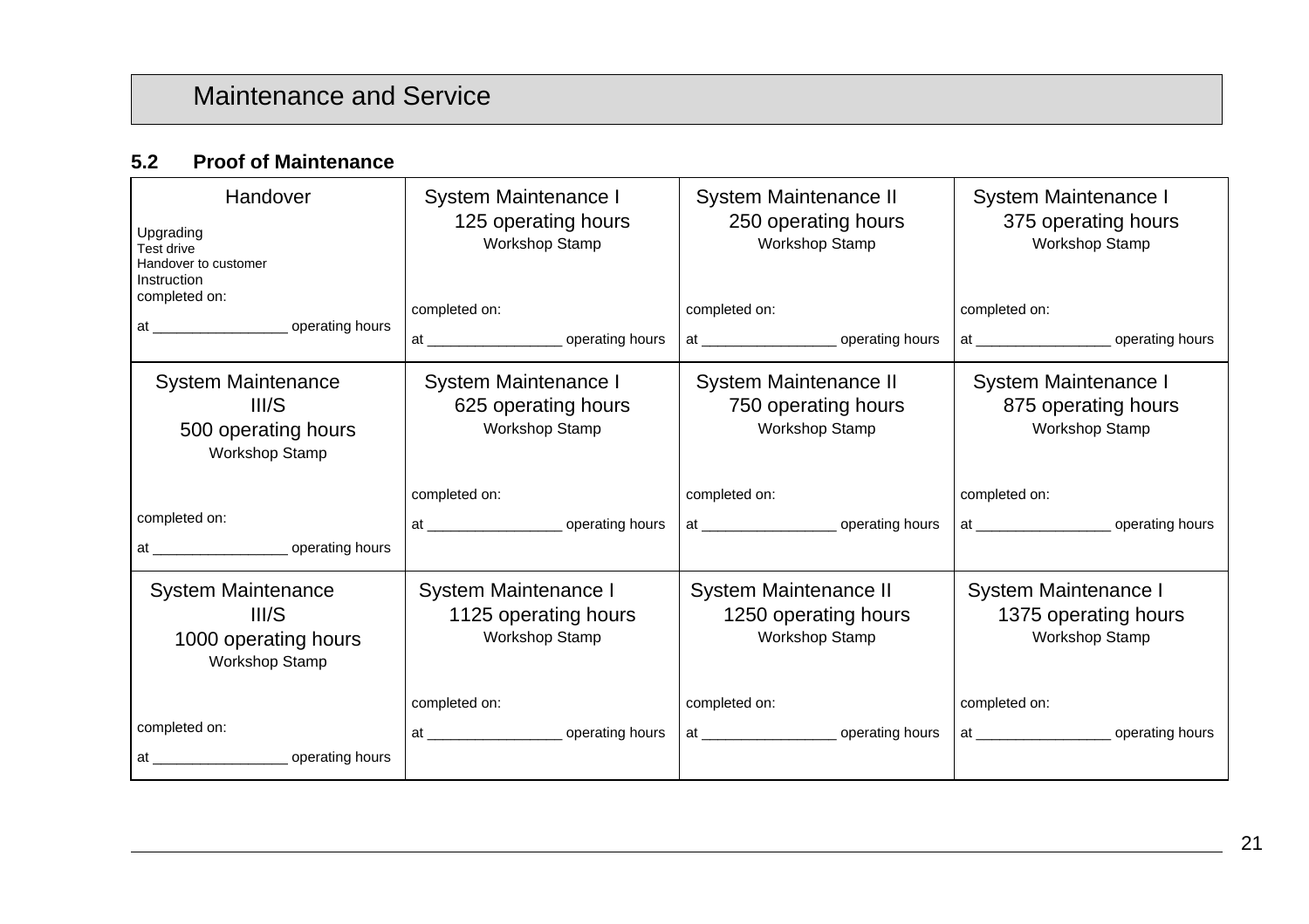### **5.2 Proof of Maintenance**

| Handover<br>Upgrading<br>Test drive<br>Handover to customer<br>Instruction<br>completed on: | System Maintenance I<br>125 operating hours<br><b>Workshop Stamp</b><br>completed on: | System Maintenance II<br>250 operating hours<br>Workshop Stamp<br>completed on: | System Maintenance I<br>375 operating hours<br>Workshop Stamp<br>completed on: |
|---------------------------------------------------------------------------------------------|---------------------------------------------------------------------------------------|---------------------------------------------------------------------------------|--------------------------------------------------------------------------------|
| System Maintenance<br>III/S<br>500 operating hours<br><b>Workshop Stamp</b>                 | System Maintenance I<br>625 operating hours<br>Workshop Stamp                         | System Maintenance II<br>750 operating hours<br><b>Workshop Stamp</b>           | System Maintenance I<br>875 operating hours<br>Workshop Stamp                  |
|                                                                                             | completed on:                                                                         | completed on:                                                                   | completed on:                                                                  |
| completed on:                                                                               |                                                                                       |                                                                                 |                                                                                |
| System Maintenance<br>III/S<br>1000 operating hours<br><b>Workshop Stamp</b>                | System Maintenance I<br>1125 operating hours<br><b>Workshop Stamp</b>                 | System Maintenance II<br>1250 operating hours<br><b>Workshop Stamp</b>          | System Maintenance I<br>1375 operating hours<br>Workshop Stamp                 |
|                                                                                             |                                                                                       |                                                                                 |                                                                                |
|                                                                                             | completed on:                                                                         | completed on:                                                                   | completed on:                                                                  |
| completed on:                                                                               |                                                                                       |                                                                                 |                                                                                |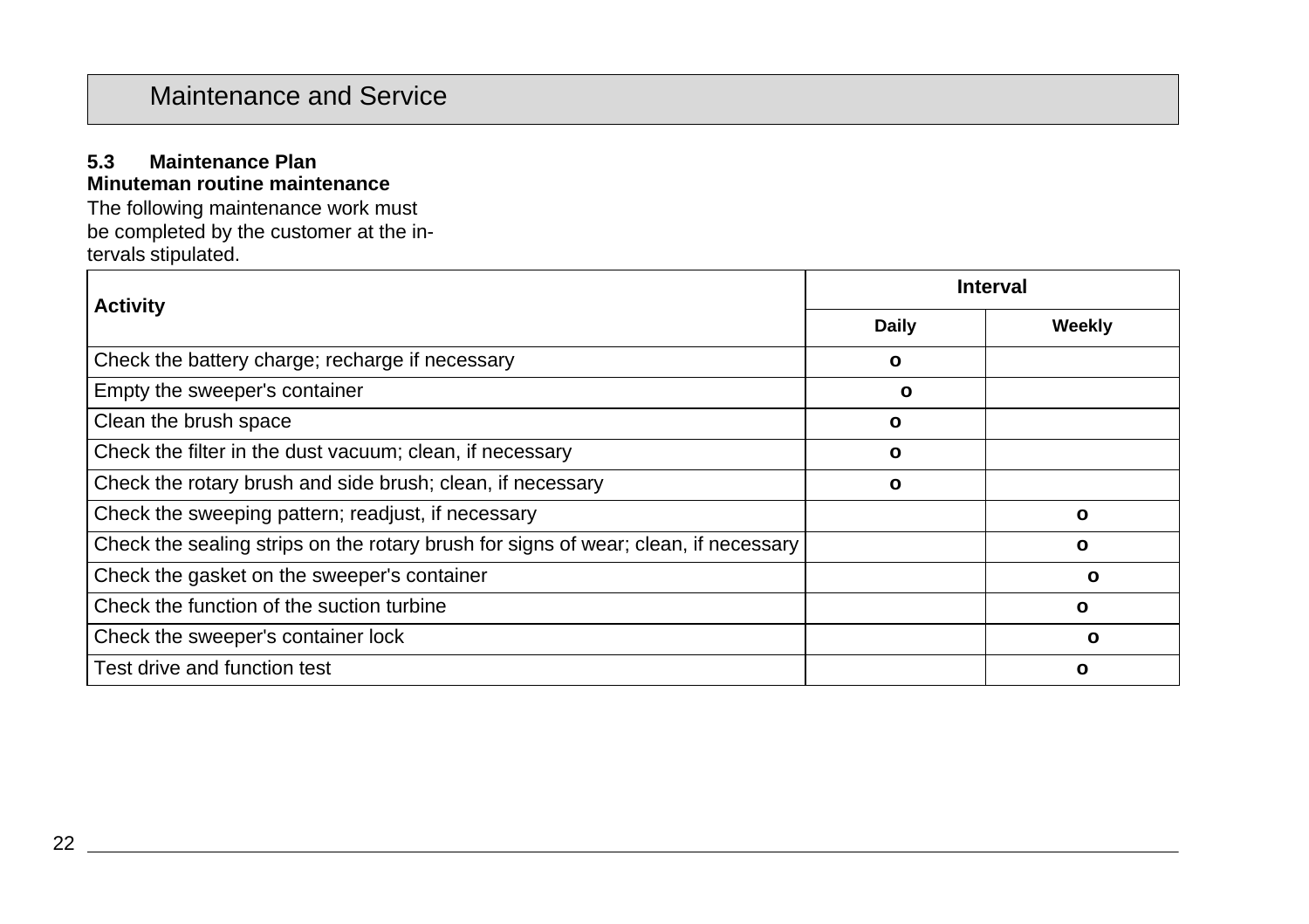#### **5.3 Maintenance Plan Minuteman routine maintenance**

The following maintenance work must be completed by the customer at the intervals stipulated.

| <b>Activity</b>                                                                     | <b>Interval</b> |              |
|-------------------------------------------------------------------------------------|-----------------|--------------|
|                                                                                     | Daily           | Weekly       |
| Check the battery charge; recharge if necessary                                     | ο               |              |
| Empty the sweeper's container                                                       | O               |              |
| Clean the brush space                                                               | ο               |              |
| Check the filter in the dust vacuum; clean, if necessary                            | ο               |              |
| Check the rotary brush and side brush; clean, if necessary                          | $\mathbf{o}$    |              |
| Check the sweeping pattern; readjust, if necessary                                  |                 | $\mathbf{o}$ |
| Check the sealing strips on the rotary brush for signs of wear; clean, if necessary |                 | o            |
| Check the gasket on the sweeper's container                                         |                 | ο            |
| Check the function of the suction turbine                                           |                 | ο            |
| Check the sweeper's container lock                                                  |                 | ο            |
| Test drive and function test                                                        |                 | O            |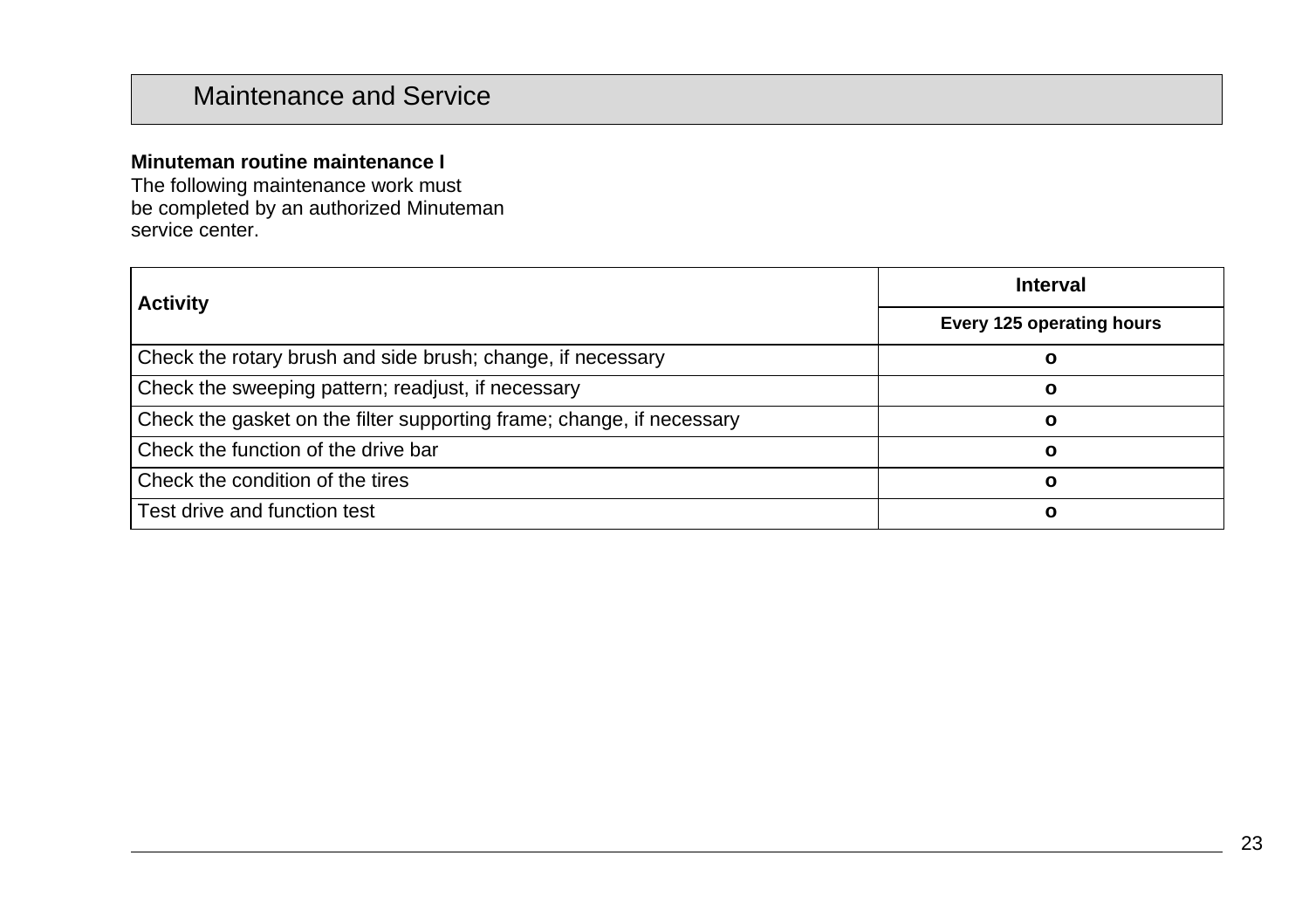### **Minuteman routine maintenance I**

The following maintenance work must be completed by an authorized Minuteman service center.

| <b>Activity</b>                                                       | Interval                  |  |
|-----------------------------------------------------------------------|---------------------------|--|
|                                                                       | Every 125 operating hours |  |
| Check the rotary brush and side brush; change, if necessary           |                           |  |
| Check the sweeping pattern; readjust, if necessary                    | О                         |  |
| Check the gasket on the filter supporting frame; change, if necessary | O                         |  |
| Check the function of the drive bar                                   |                           |  |
| Check the condition of the tires                                      | O                         |  |
| Test drive and function test                                          | O                         |  |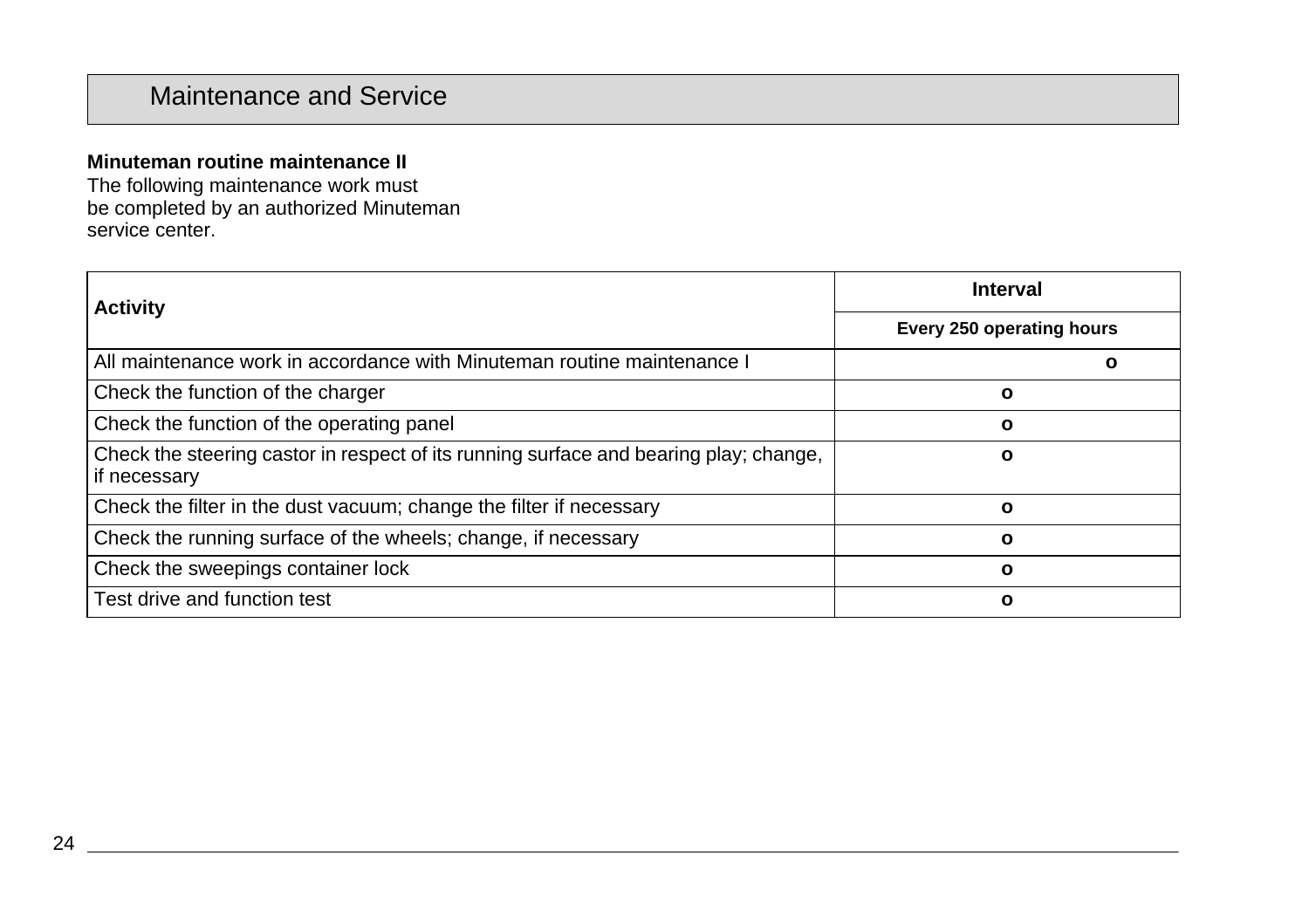### **Minuteman routine maintenance II**

The following maintenance work must be completed by an authorized Minuteman service center.

| <b>Activity</b>                                                                                       | Interval                  |  |
|-------------------------------------------------------------------------------------------------------|---------------------------|--|
|                                                                                                       | Every 250 operating hours |  |
| All maintenance work in accordance with Minuteman routine maintenance I                               | O                         |  |
| Check the function of the charger                                                                     | ο                         |  |
| Check the function of the operating panel                                                             | $\mathbf{o}$              |  |
| Check the steering castor in respect of its running surface and bearing play; change,<br>if necessary | C                         |  |
| Check the filter in the dust vacuum; change the filter if necessary                                   | $\mathbf{o}$              |  |
| Check the running surface of the wheels; change, if necessary                                         | $\Omega$                  |  |
| Check the sweepings container lock                                                                    | $\mathbf{o}$              |  |
| Test drive and function test                                                                          | ο                         |  |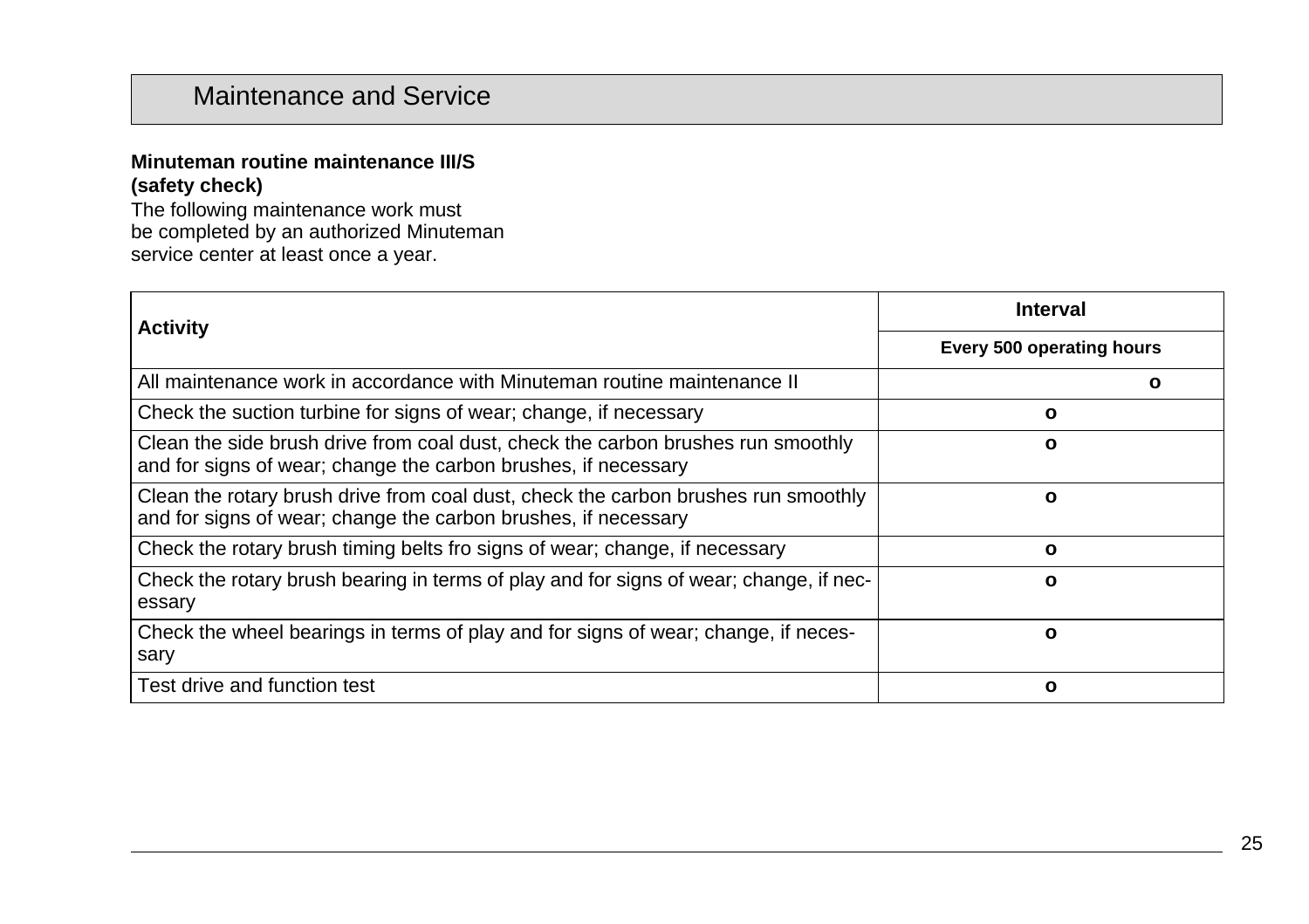### **Minuteman routine maintenance III/S (safety check)**

The following maintenance work must be completed by an authorized Minuteman service center at least once a year.

| <b>Activity</b>                                                                                                                                      | <b>Interval</b>           |  |
|------------------------------------------------------------------------------------------------------------------------------------------------------|---------------------------|--|
|                                                                                                                                                      | Every 500 operating hours |  |
| All maintenance work in accordance with Minuteman routine maintenance II                                                                             | О                         |  |
| Check the suction turbine for signs of wear; change, if necessary                                                                                    | o                         |  |
| Clean the side brush drive from coal dust, check the carbon brushes run smoothly<br>and for signs of wear; change the carbon brushes, if necessary   | o                         |  |
| Clean the rotary brush drive from coal dust, check the carbon brushes run smoothly<br>and for signs of wear; change the carbon brushes, if necessary | ο                         |  |
| Check the rotary brush timing belts fro signs of wear; change, if necessary                                                                          | O                         |  |
| Check the rotary brush bearing in terms of play and for signs of wear; change, if nec-<br>essary                                                     | O                         |  |
| Check the wheel bearings in terms of play and for signs of wear; change, if neces-<br>sary                                                           | ο                         |  |
| Test drive and function test                                                                                                                         | o                         |  |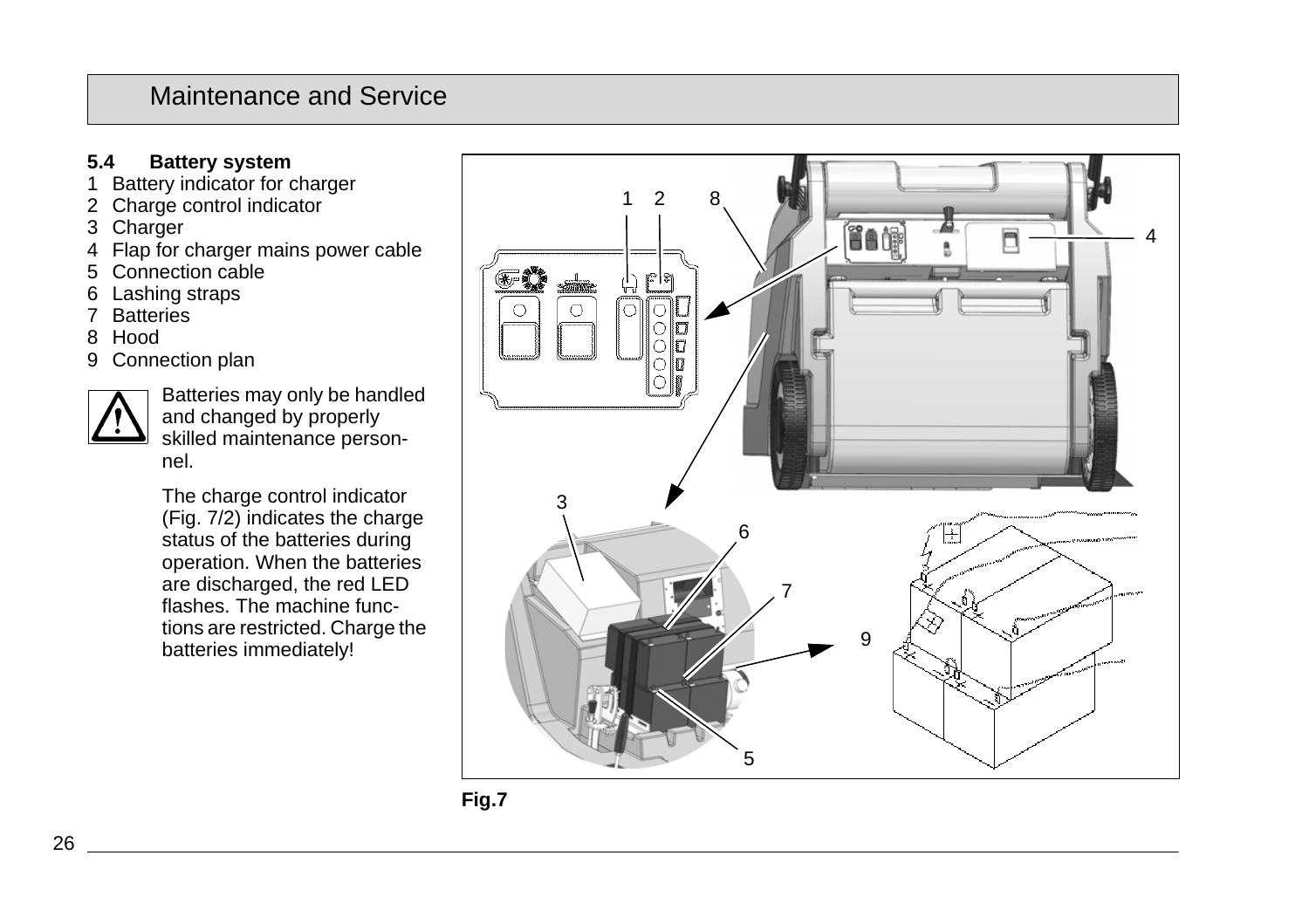### **5.4 Battery system**

- 1 Battery indicator for charger
- 2 Charge control indicator
- 3 Charger
- 4 Flap for charger mains power cable
- 5 Connection cable
- 6 Lashing straps
- 7 Batteries
- 8 Hood
- 9 Connection plan



Batteries may only be handled and changed by properly skilled maintenance personnel.

The charge control indicator (Fig. 7/2) indicates the charge status of the batteries during operation. When the batteries are discharged, the red LED flashes. The machine functions are restricted. Charge the batteries immediately!

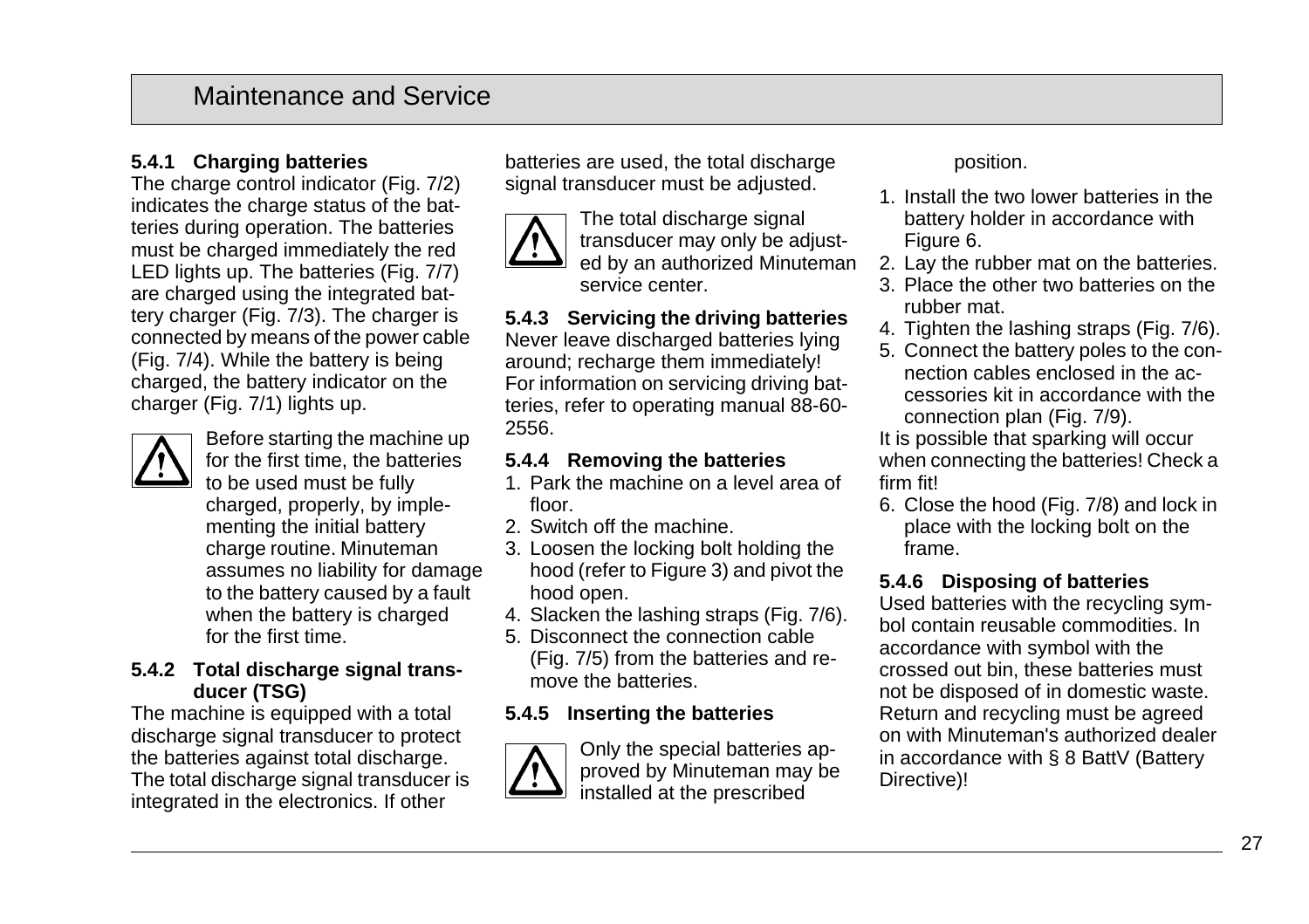### **5.4.1 Charging batteries**

The charge control indicator (Fig. 7/2) indicates the charge status of the batteries during operation. The batteries must be charged immediately the red LED lights up. The batteries (Fig. 7/7) are charged using the integrated battery charger (Fig. 7/3). The charger is connected by means of the power cable (Fig. 7/4). While the battery is being charged, the battery indicator on the charger (Fig. 7/1) lights up.



Before starting the machine up for the first time, the batteries to be used must be fully charged, properly, by implementing the initial battery charge routine. Minuteman assumes no liability for damage to the battery caused by a fault when the battery is charged for the first time.

#### **5.4.2 Total discharge signal transducer (TSG)**

The machine is equipped with a total discharge signal transducer to protect the batteries against total discharge. The total discharge signal transducer is integrated in the electronics. If other

batteries are used, the total discharge signal transducer must be adjusted.



The total discharge signal transducer may only be adjusted by an authorized Minuteman service center.

**5.4.3 Servicing the driving batteries** Never leave discharged batteries lying around; recharge them immediately! For information on servicing driving batteries, refer to operating manual 88-60- 2556.

#### **5.4.4 Removing the batteries**

- 1. Park the machine on a level area of floor.
- 2. Switch off the machine.
- 3. Loosen the locking bolt holding the hood (refer to Figure 3) and pivot the hood open.
- 4. Slacken the lashing straps (Fig. 7/6).
- 5. Disconnect the connection cable (Fig. 7/5) from the batteries and remove the batteries.

### **5.4.5 Inserting the batteries**



Only the special batteries approved by Minuteman may be installed at the prescribed

position.

- 1. Install the two lower batteries in the battery holder in accordance with Figure 6.
- 2. Lay the rubber mat on the batteries.
- 3. Place the other two batteries on the rubber mat.
- 4. Tighten the lashing straps (Fig. 7/6).
- 5. Connect the battery poles to the connection cables enclosed in the accessories kit in accordance with the connection plan (Fig. 7/9).

It is possible that sparking will occur when connecting the batteries! Check a firm fit!

6. Close the hood (Fig. 7/8) and lock in place with the locking bolt on the frame.

### **5.4.6 Disposing of batteries**

Used batteries with the recycling symbol contain reusable commodities. In accordance with symbol with the crossed out bin, these batteries must not be disposed of in domestic waste. Return and recycling must be agreed on with Minuteman's authorized dealer in accordance with § 8 BattV (Battery Directive)!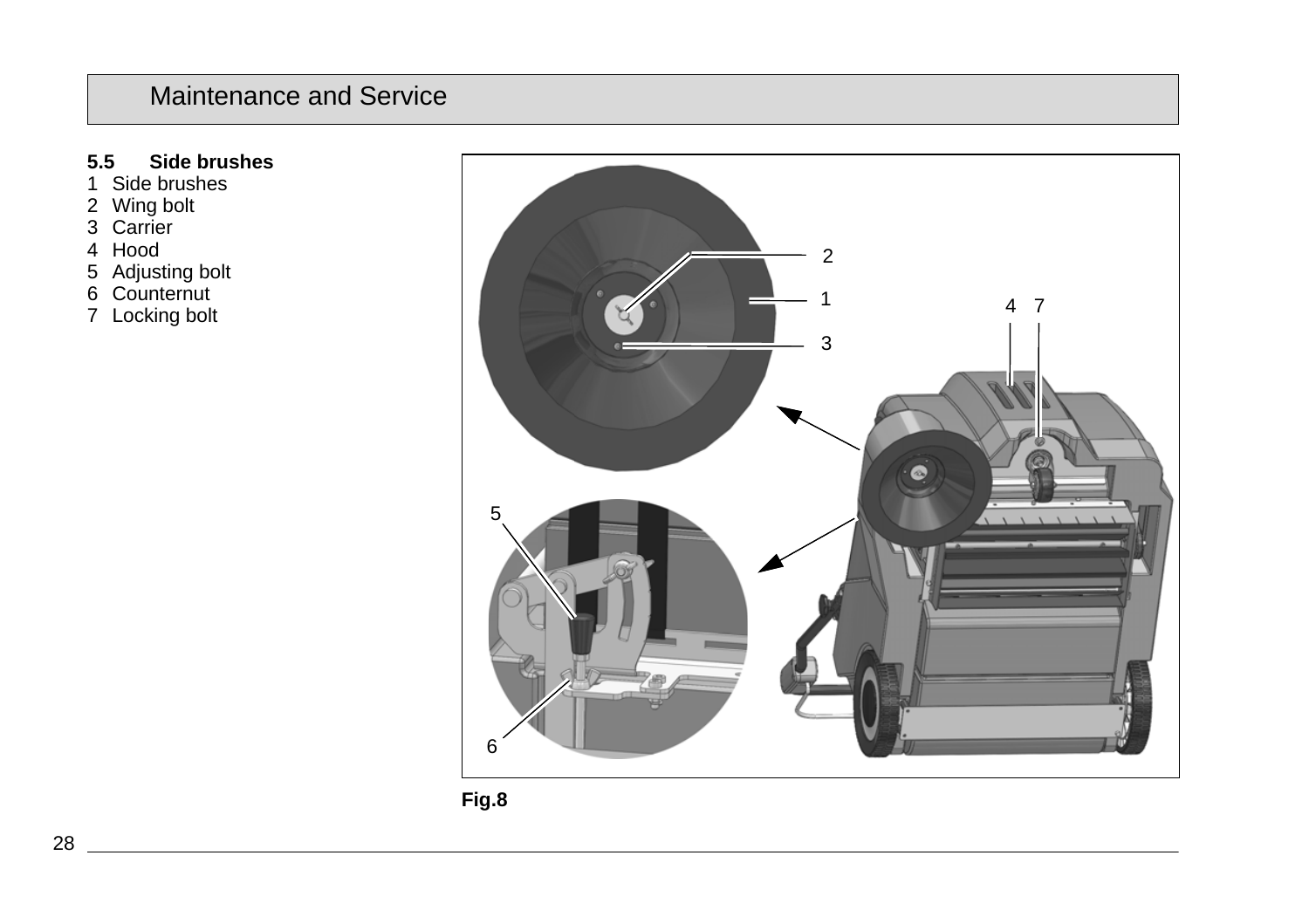### **5.5 Side brushes**

- 1 Side brushes
- 2 Wing bolt
- 3 Carrier
- 4 Hood
- 5 Adjusting bolt
- 6 Counternut
- 7 Locking bolt



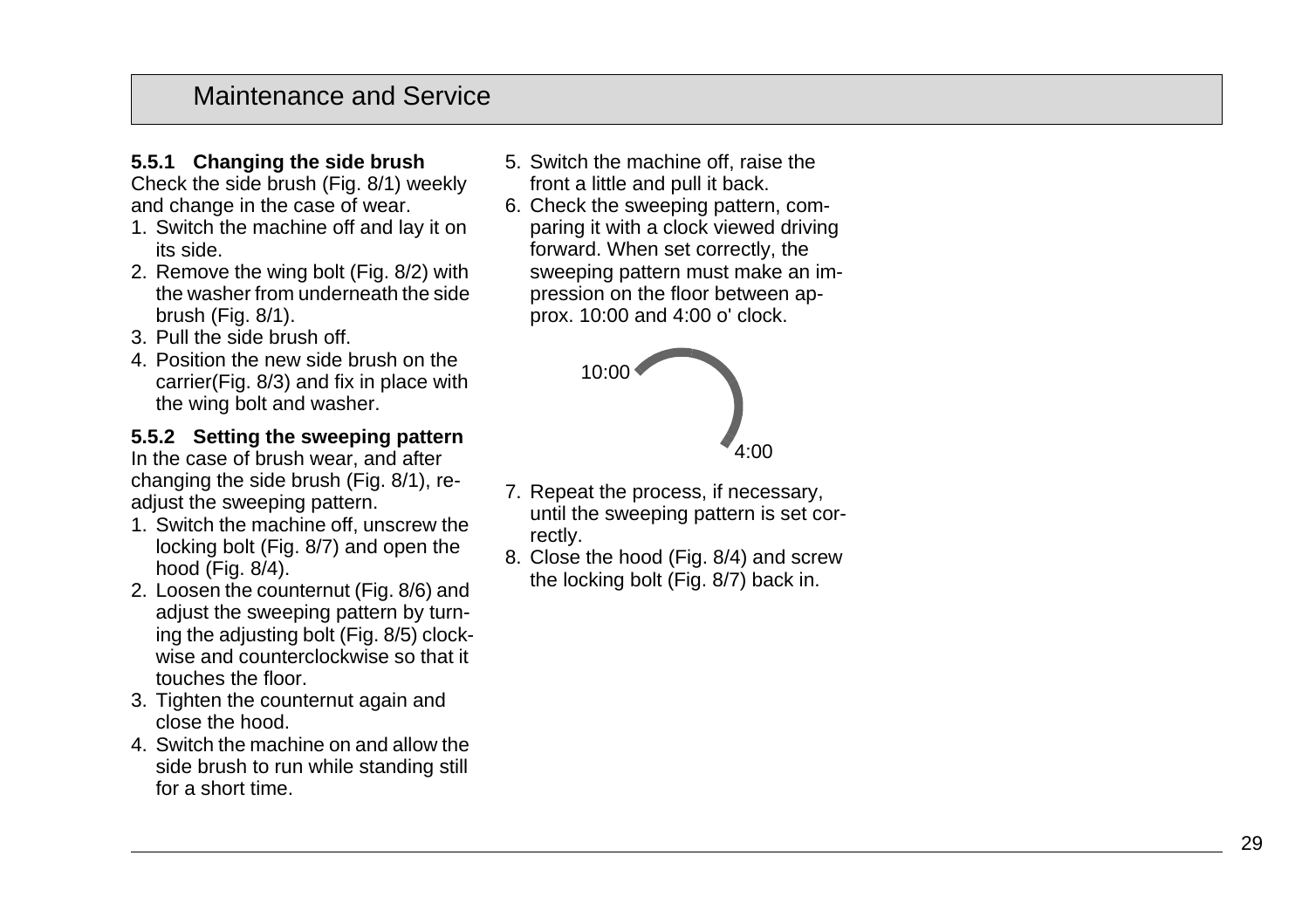# **5.5.1 Changing the side brush**

Check the side brush (Fig. 8/1) weekly and change in the case of wear.

- 1. Switch the machine off and lay it on its side.
- 2. Remove the wing bolt (Fig. 8/2) with the washer from underneath the side brush (Fig. 8/1).
- 3. Pull the side brush off.
- 4. Position the new side brush on the carrier(Fig. 8/3) and fix in place with the wing bolt and washer.

# **5.5.2 Setting the sweeping pattern**

In the case of brush wear, and after changing the side brush (Fig. 8/1), readjust the sweeping pattern.

- 1. Switch the machine off, unscrew the locking bolt (Fig. 8/7) and open the hood (Fig. 8/4).
- 2. Loosen the counternut (Fig. 8/6) and adjust the sweeping pattern by turning the adjusting bolt (Fig. 8/5) clockwise and counterclockwise so that it touches the floor.
- 3. Tighten the counternut again and close the hood.
- 4. Switch the machine on and allow the side brush to run while standing still for a short time.
- 5. Switch the machine off, raise the front a little and pull it back.
- 6. Check the sweeping pattern, comparing it with a clock viewed driving forward. When set correctly, the sweeping pattern must make an impression on the floor between approx. 10:00 and 4:00 o' clock.



- 7. Repeat the process, if necessary, until the sweeping pattern is set correctly.
- 8. Close the hood (Fig. 8/4) and screw the locking bolt (Fig. 8/7) back in.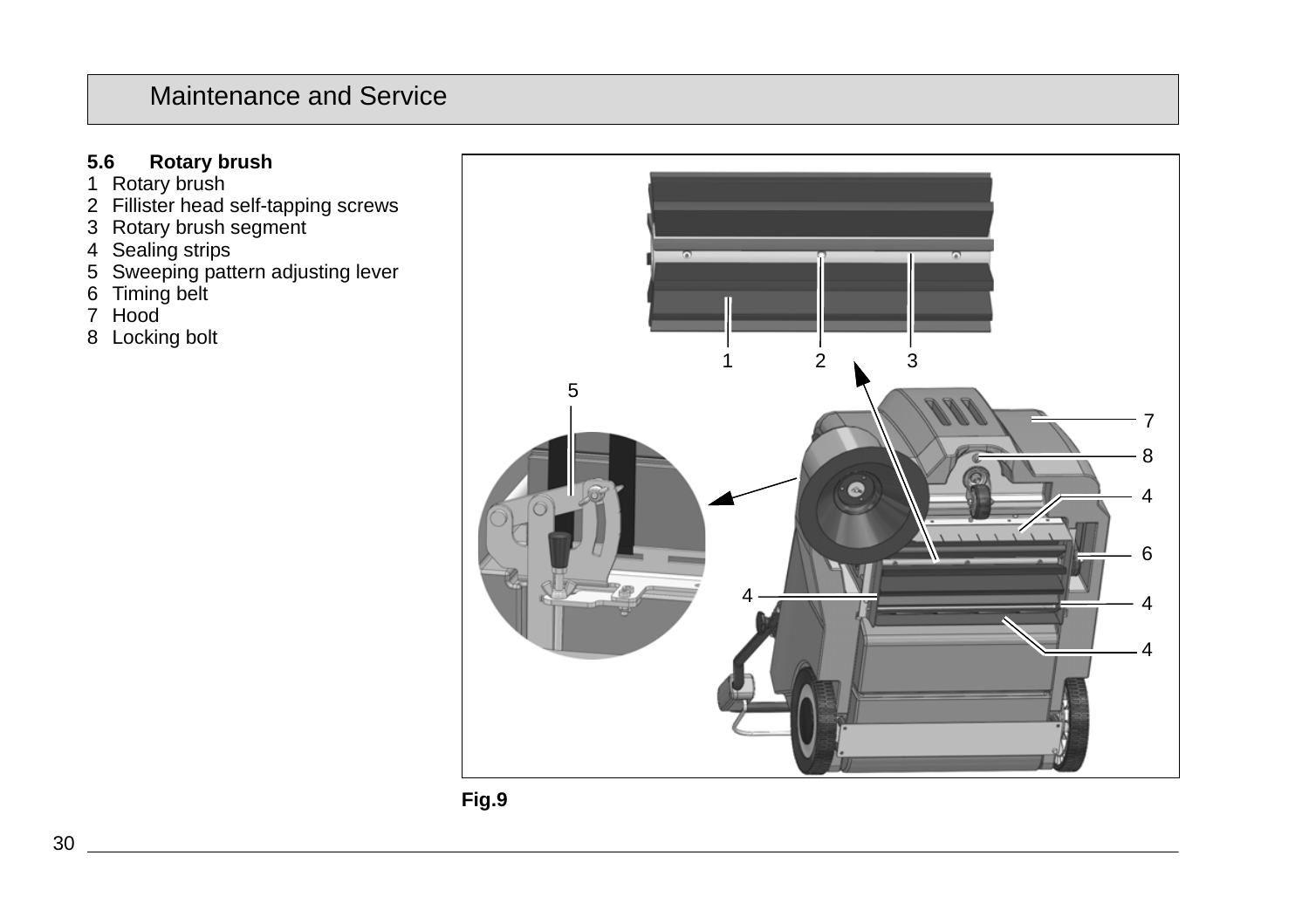### **5.6 Rotary brush**

- 1 Rotary brush
- 2 Fillister head self-tapping screws
- 3 Rotary brush segment
- 4 Sealing strips
- 5 Sweeping pattern adjusting lever
- 6 Timing belt
- 7 Hood
- 8 Locking bolt



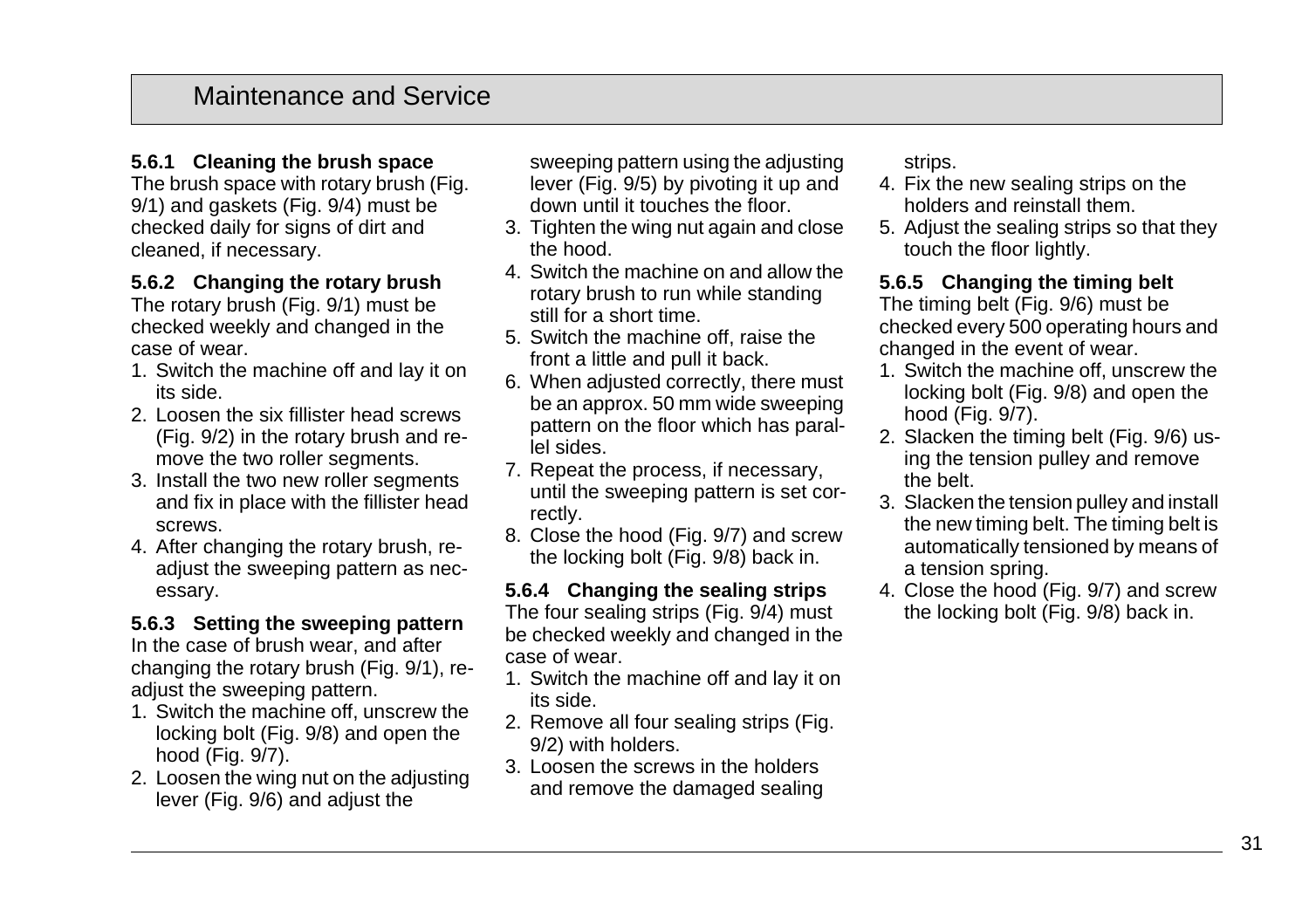### **5.6.1 Cleaning the brush space**

The brush space with rotary brush (Fig. 9/1) and gaskets (Fig. 9/4) must be checked daily for signs of dirt and cleaned, if necessary.

#### **5.6.2 Changing the rotary brush**

The rotary brush (Fig. 9/1) must be checked weekly and changed in the case of wear.

- 1. Switch the machine off and lay it on its side.
- 2. Loosen the six fillister head screws (Fig. 9/2) in the rotary brush and remove the two roller segments.
- 3. Install the two new roller segments and fix in place with the fillister head screws.
- 4. After changing the rotary brush, readjust the sweeping pattern as necessary.

#### **5.6.3 Setting the sweeping pattern**

In the case of brush wear, and after changing the rotary brush (Fig. 9/1), readjust the sweeping pattern.

- 1. Switch the machine off, unscrew the locking bolt (Fig. 9/8) and open the hood (Fig. 9/7).
- 2. Loosen the wing nut on the adjusting lever (Fig. 9/6) and adjust the

sweeping pattern using the adjusting lever (Fig. 9/5) by pivoting it up and down until it touches the floor.

- 3. Tighten the wing nut again and close the hood.
- 4. Switch the machine on and allow the rotary brush to run while standing still for a short time.
- 5. Switch the machine off, raise the front a little and pull it back.
- 6. When adjusted correctly, there must be an approx. 50 mm wide sweeping pattern on the floor which has parallel sides.
- 7. Repeat the process, if necessary, until the sweeping pattern is set correctly.
- 8. Close the hood (Fig. 9/7) and screw the locking bolt (Fig. 9/8) back in.

#### **5.6.4 Changing the sealing strips** The four sealing strips (Fig. 9/4) must be checked weekly and changed in the case of wear.

- 1. Switch the machine off and lay it on its side.
- 2. Remove all four sealing strips (Fig. 9/2) with holders.
- 3. Loosen the screws in the holders and remove the damaged sealing

strips.

- 4. Fix the new sealing strips on the holders and reinstall them.
- 5. Adjust the sealing strips so that they touch the floor lightly.

### **5.6.5 Changing the timing belt**

The timing belt (Fig. 9/6) must be checked every 500 operating hours and changed in the event of wear.

- 1. Switch the machine off, unscrew the locking bolt (Fig. 9/8) and open the hood (Fig. 9/7).
- 2. Slacken the timing belt (Fig. 9/6) using the tension pulley and remove the belt.
- 3. Slacken the tension pulley and install the new timing belt. The timing belt is automatically tensioned by means of a tension spring.
- 4. Close the hood (Fig. 9/7) and screw the locking bolt (Fig. 9/8) back in.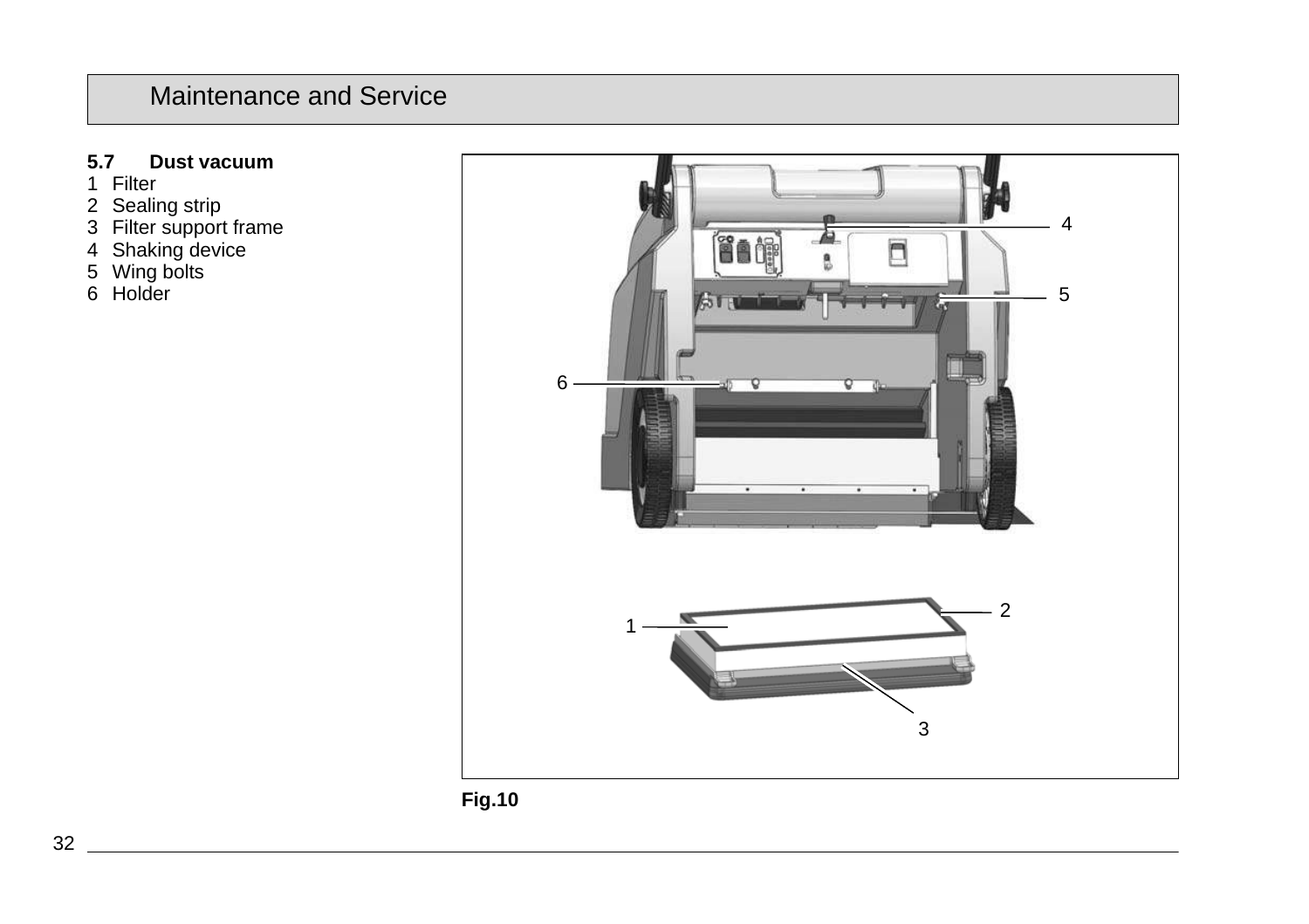### **5.7 Dust vacuum**

- 1 Filter
- 2 Sealing strip
- 3 Filter support frame
- 4 Shaking device
- 5 Wing bolts
- 6 Holder

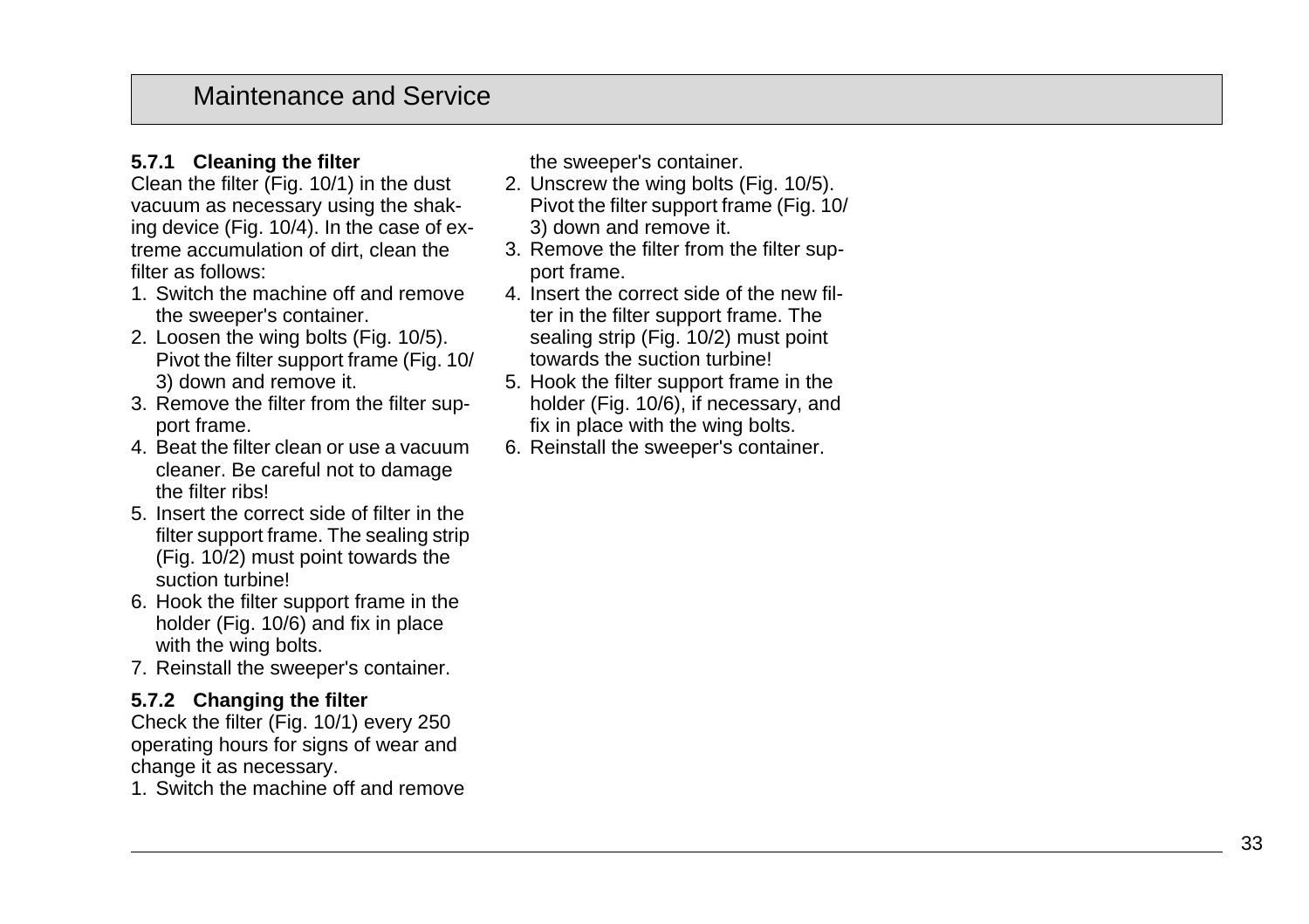### **5.7.1 Cleaning the filter**

Clean the filter (Fig. 10/1) in the dust vacuum as necessary using the shaking device (Fig. 10/4). In the case of extreme accumulation of dirt, clean the filter as follows:

- 1. Switch the machine off and remove the sweeper's container.
- 2. Loosen the wing bolts (Fig. 10/5). Pivot the filter support frame (Fig. 10/ 3) down and remove it.
- 3. Remove the filter from the filter support frame.
- 4. Beat the filter clean or use a vacuum cleaner. Be careful not to damage the filter ribs!
- 5. Insert the correct side of filter in the filter support frame. The sealing strip (Fig. 10/2) must point towards the suction turbine!
- 6. Hook the filter support frame in the holder (Fig. 10/6) and fix in place with the wing bolts.
- 7. Reinstall the sweeper's container.

### **5.7.2 Changing the filter**

Check the filter (Fig. 10/1) every 250 operating hours for signs of wear and change it as necessary.

1. Switch the machine off and remove

the sweeper's container.

- 2. Unscrew the wing bolts (Fig. 10/5). Pivot the filter support frame (Fig. 10/ 3) down and remove it.
- 3. Remove the filter from the filter support frame.
- 4. Insert the correct side of the new filter in the filter support frame. The sealing strip (Fig. 10/2) must point towards the suction turbine!
- 5. Hook the filter support frame in the holder (Fig. 10/6), if necessary, and fix in place with the wing bolts.
- 6. Reinstall the sweeper's container.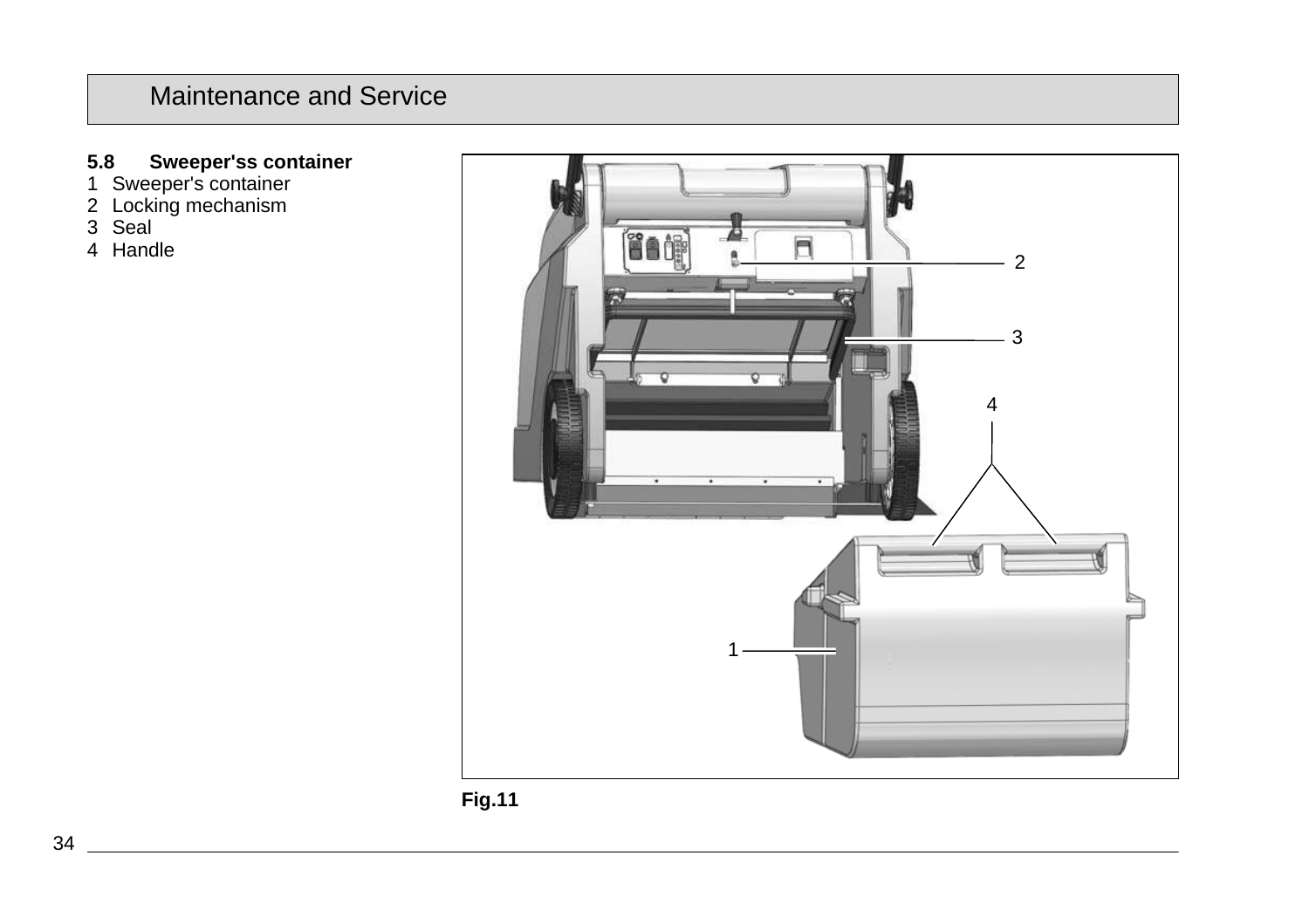#### **5.8 Sweeper'ss container**

- 1 Sweeper's container
- 2 Locking mechanism
- 3 Seal
- 4 Handle



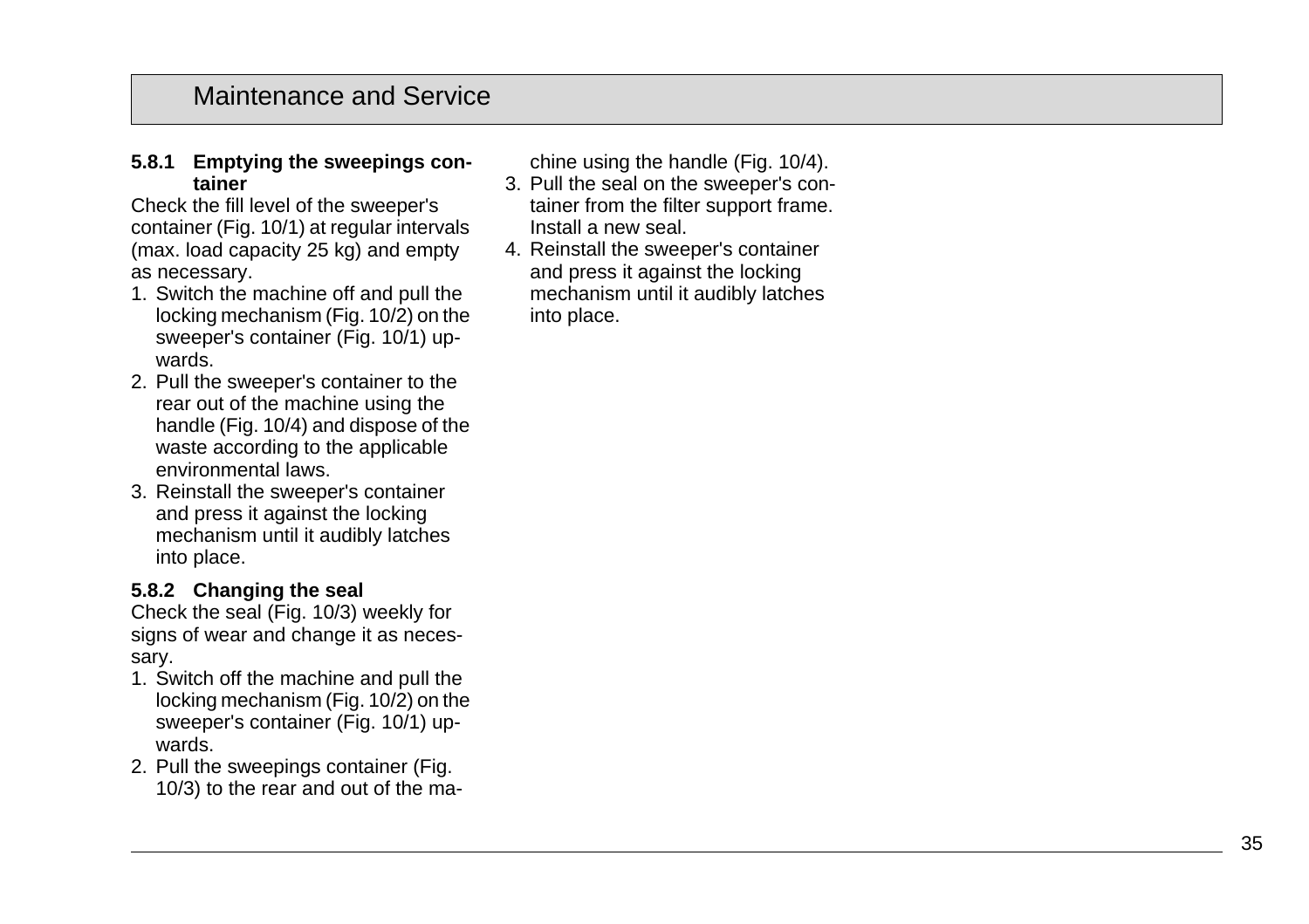#### **5.8.1 Emptying the sweepings container**

Check the fill level of the sweeper's container (Fig. 10/1) at regular intervals (max. load capacity 25 kg) and empty as necessary.

- 1. Switch the machine off and pull the locking mechanism (Fig. 10/2) on the sweeper's container (Fig. 10/1) upwards.
- 2. Pull the sweeper's container to the rear out of the machine using the handle (Fig. 10/4) and dispose of the waste according to the applicable environmental laws.
- 3. Reinstall the sweeper's container and press it against the locking mechanism until it audibly latches into place.

### **5.8.2 Changing the seal**

Check the seal (Fig. 10/3) weekly for signs of wear and change it as necessary.

- 1. Switch off the machine and pull the locking mechanism (Fig. 10/2) on the sweeper's container (Fig. 10/1) upwards.
- 2. Pull the sweepings container (Fig. 10/3) to the rear and out of the ma-

chine using the handle (Fig. 10/4).

- 3. Pull the seal on the sweeper's container from the filter support frame. Install a new seal.
- 4. Reinstall the sweeper's container and press it against the locking mechanism until it audibly latches into place.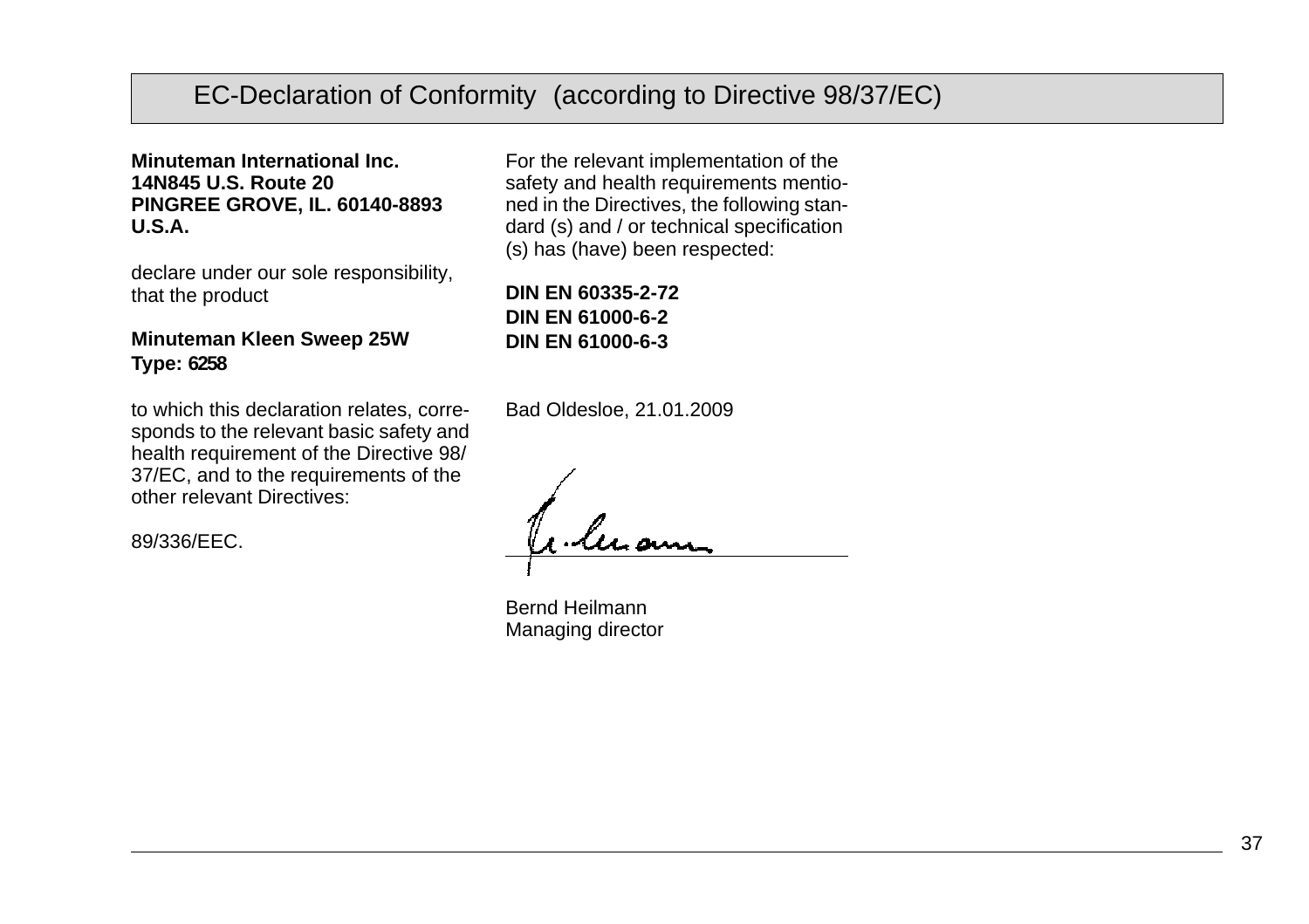# EC-Declaration of Conformity (according to Directive 98/37/EC)

**Minuteman International Inc. 14N845 U.S. Route 20 PINGREE GROVE, IL. 60140-8893 U.S.A.**

declare under our sole responsibility, that the product

#### **Minuteman Kleen Sweep 25W Type: 6258**

to which this declaration relates, corresponds to the relevant basic safety and health requirement of the Directive 98/ 37/EC, and to the requirements of the other relevant Directives:

89/336/EEC.

For the relevant implementation of the safety and health requirements mentioned in the Directives, the following standard (s) and / or technical specification (s) has (have) been respected:

**DIN EN 60335-2-72 DIN EN 61000-6-2 DIN EN 61000-6-3**

Bad Oldesloe, 21.01.2009

Bernd Heilmann Managing director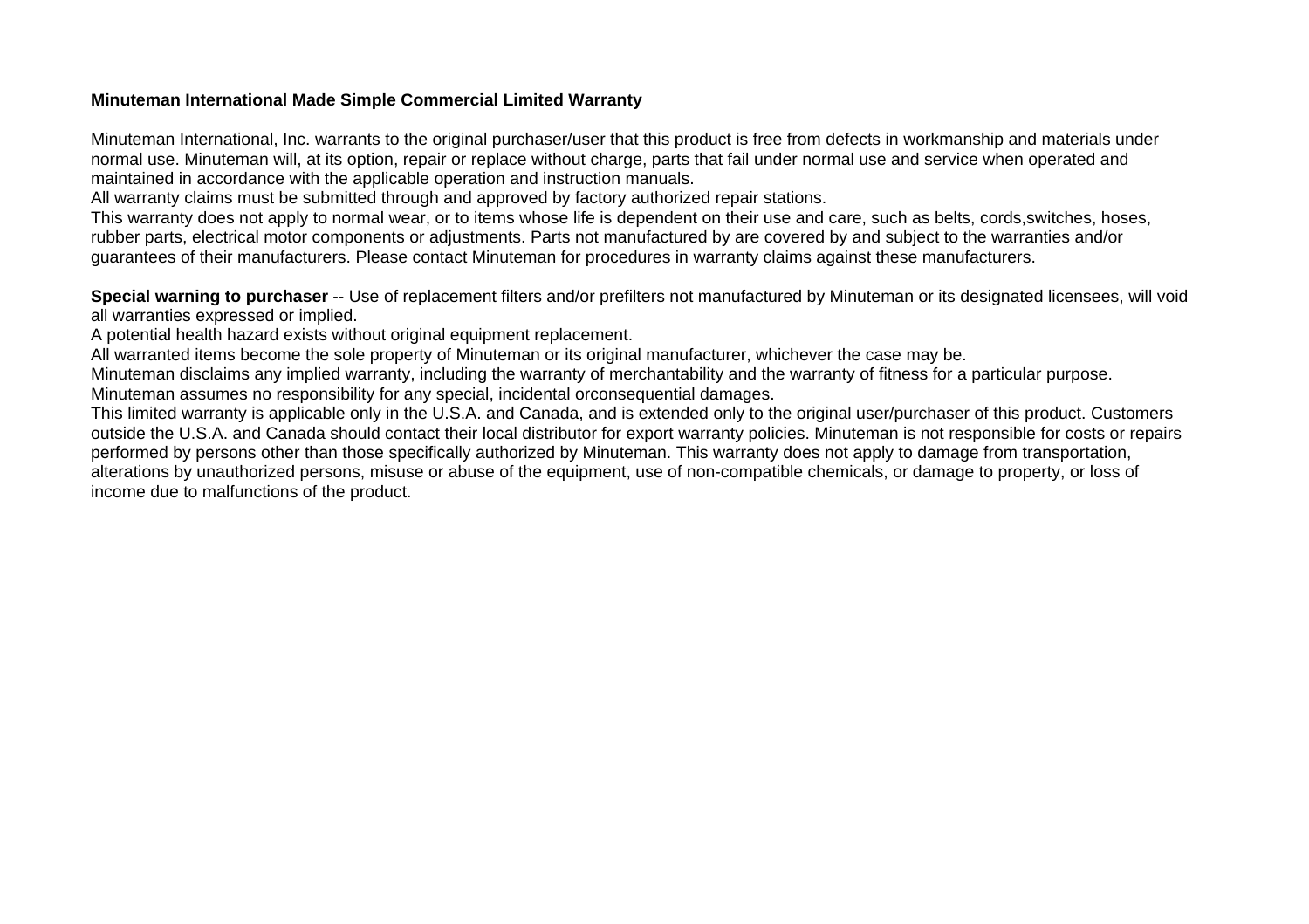#### **Minuteman International Made Simple Commercial Limited Warranty**

Minuteman International, Inc. warrants to the original purchaser/user that this product is free from defects in workmanship and materials under normal use. Minuteman will, at its option, repair or replace without charge, parts that fail under normal use and service when operated and maintained in accordance with the applicable operation and instruction manuals.

All warranty claims must be submitted through and approved by factory authorized repair stations.

This warranty does not apply to normal wear, or to items whose life is dependent on their use and care, such as belts, cords,switches, hoses, rubber parts, electrical motor components or adjustments. Parts not manufactured by are covered by and subject to the warranties and/or guarantees of their manufacturers. Please contact Minuteman for procedures in warranty claims against these manufacturers.

**Special warning to purchaser** -- Use of replacement filters and/or prefilters not manufactured by Minuteman or its designated licensees, will void all warranties expressed or implied.

A potential health hazard exists without original equipment replacement.

All warranted items become the sole property of Minuteman or its original manufacturer, whichever the case may be.

Minuteman disclaims any implied warranty, including the warranty of merchantability and the warranty of fitness for a particular purpose. Minuteman assumes no responsibility for any special, incidental orconsequential damages.

This limited warranty is applicable only in the U.S.A. and Canada, and is extended only to the original user/purchaser of this product. Customers outside the U.S.A. and Canada should contact their local distributor for export warranty policies. Minuteman is not responsible for costs or repairs performed by persons other than those specifically authorized by Minuteman. This warranty does not apply to damage from transportation, alterations by unauthorized persons, misuse or abuse of the equipment, use of non-compatible chemicals, or damage to property, or loss of income due to malfunctions of the product.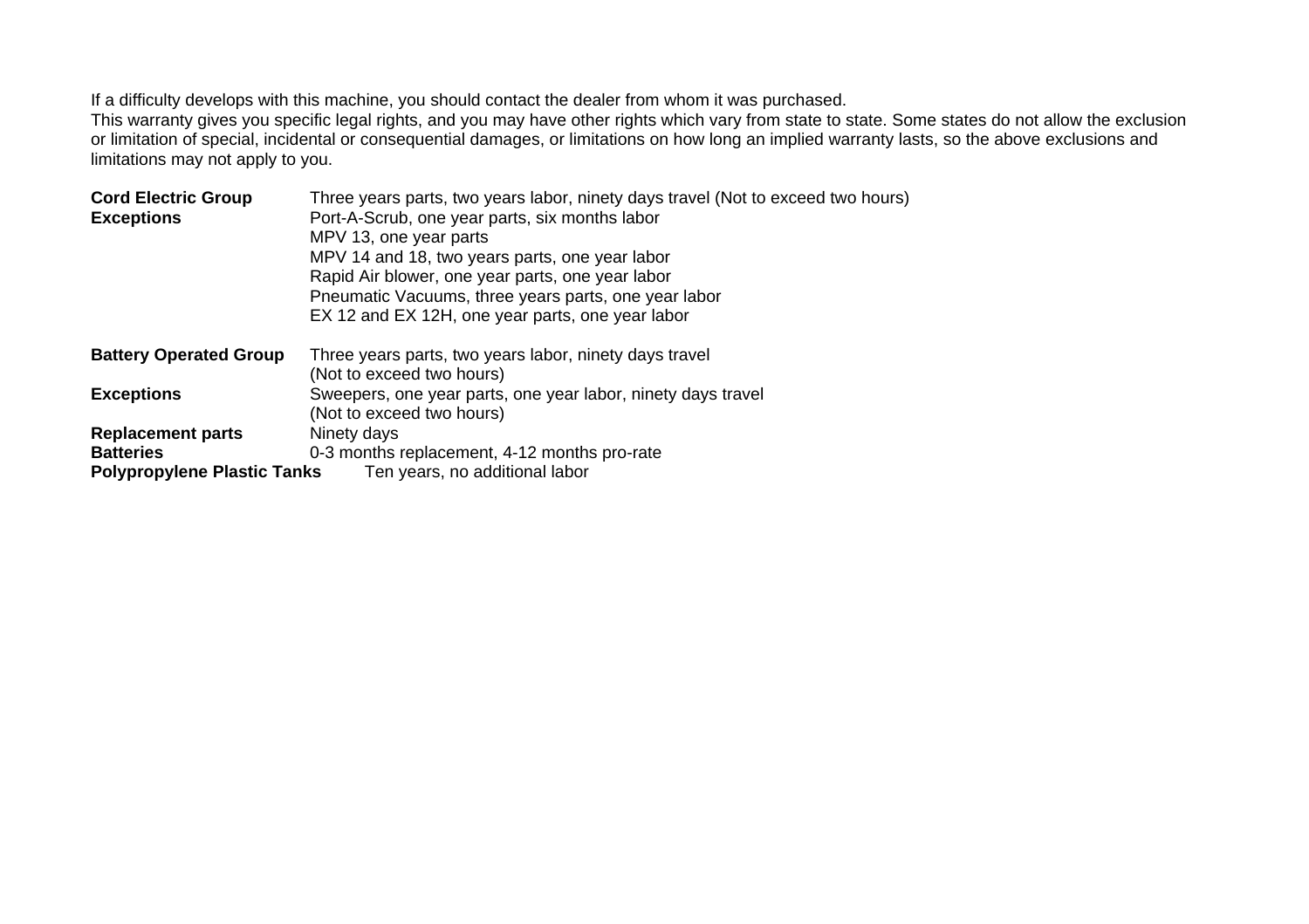If a difficulty develops with this machine, you should contact the dealer from whom it was purchased.

This warranty gives you specific legal rights, and you may have other rights which vary from state to state. Some states do not allow the exclusion or limitation of special, incidental or consequential damages, or limitations on how long an implied warranty lasts, so the above exclusions and limitations may not apply to you.

| <b>Cord Electric Group</b><br><b>Exceptions</b>                                    | Three years parts, two years labor, ninety days travel (Not to exceed two hours)<br>Port-A-Scrub, one year parts, six months labor<br>MPV 13, one year parts<br>MPV 14 and 18, two years parts, one year labor<br>Rapid Air blower, one year parts, one year labor<br>Pneumatic Vacuums, three years parts, one year labor<br>EX 12 and EX 12H, one year parts, one year labor |
|------------------------------------------------------------------------------------|--------------------------------------------------------------------------------------------------------------------------------------------------------------------------------------------------------------------------------------------------------------------------------------------------------------------------------------------------------------------------------|
| <b>Battery Operated Group</b>                                                      | Three years parts, two years labor, ninety days travel<br>(Not to exceed two hours)                                                                                                                                                                                                                                                                                            |
| <b>Exceptions</b>                                                                  | Sweepers, one year parts, one year labor, ninety days travel<br>(Not to exceed two hours)                                                                                                                                                                                                                                                                                      |
| <b>Replacement parts</b><br><b>Batteries</b><br><b>Polypropylene Plastic Tanks</b> | Ninety days<br>0-3 months replacement, 4-12 months pro-rate<br>Ten years, no additional labor                                                                                                                                                                                                                                                                                  |